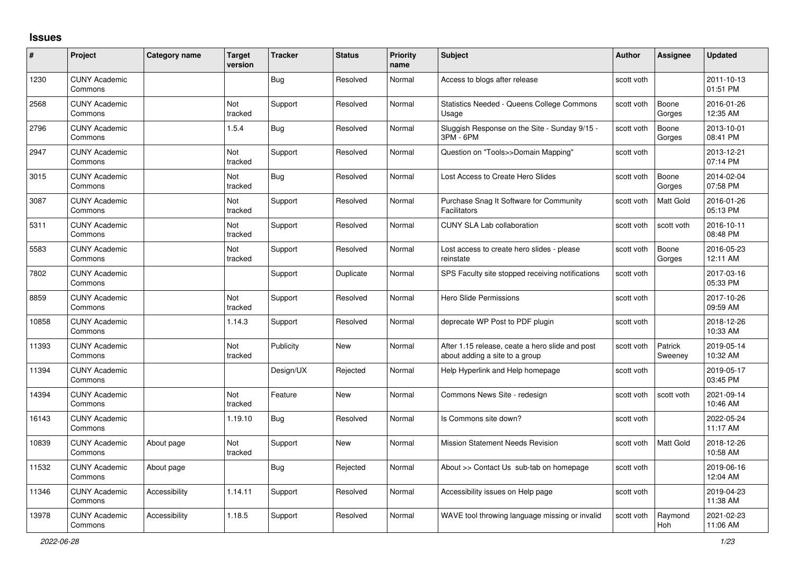## **Issues**

| #     | Project                         | Category name | <b>Target</b><br>version | <b>Tracker</b> | <b>Status</b> | <b>Priority</b><br>name | Subject                                                                           | <b>Author</b> | <b>Assignee</b>    | <b>Updated</b>         |
|-------|---------------------------------|---------------|--------------------------|----------------|---------------|-------------------------|-----------------------------------------------------------------------------------|---------------|--------------------|------------------------|
| 1230  | <b>CUNY Academic</b><br>Commons |               |                          | Bug            | Resolved      | Normal                  | Access to blogs after release                                                     | scott voth    |                    | 2011-10-13<br>01:51 PM |
| 2568  | <b>CUNY Academic</b><br>Commons |               | Not<br>tracked           | Support        | Resolved      | Normal                  | <b>Statistics Needed - Queens College Commons</b><br>Usage                        | scott voth    | Boone<br>Gorges    | 2016-01-26<br>12:35 AM |
| 2796  | <b>CUNY Academic</b><br>Commons |               | 1.5.4                    | <b>Bug</b>     | Resolved      | Normal                  | Sluggish Response on the Site - Sunday 9/15 -<br>3PM - 6PM                        | scott voth    | Boone<br>Gorges    | 2013-10-01<br>08:41 PM |
| 2947  | <b>CUNY Academic</b><br>Commons |               | Not<br>tracked           | Support        | Resolved      | Normal                  | Question on "Tools>>Domain Mapping"                                               | scott voth    |                    | 2013-12-21<br>07:14 PM |
| 3015  | <b>CUNY Academic</b><br>Commons |               | <b>Not</b><br>tracked    | <b>Bug</b>     | Resolved      | Normal                  | Lost Access to Create Hero Slides                                                 | scott voth    | Boone<br>Gorges    | 2014-02-04<br>07:58 PM |
| 3087  | <b>CUNY Academic</b><br>Commons |               | Not<br>tracked           | Support        | Resolved      | Normal                  | Purchase Snag It Software for Community<br>Facilitators                           | scott voth    | Matt Gold          | 2016-01-26<br>05:13 PM |
| 5311  | <b>CUNY Academic</b><br>Commons |               | Not<br>tracked           | Support        | Resolved      | Normal                  | <b>CUNY SLA Lab collaboration</b>                                                 | scott voth    | scott voth         | 2016-10-11<br>08:48 PM |
| 5583  | <b>CUNY Academic</b><br>Commons |               | Not<br>tracked           | Support        | Resolved      | Normal                  | Lost access to create hero slides - please<br>reinstate                           | scott voth    | Boone<br>Gorges    | 2016-05-23<br>12:11 AM |
| 7802  | <b>CUNY Academic</b><br>Commons |               |                          | Support        | Duplicate     | Normal                  | SPS Faculty site stopped receiving notifications                                  | scott voth    |                    | 2017-03-16<br>05:33 PM |
| 8859  | <b>CUNY Academic</b><br>Commons |               | Not<br>tracked           | Support        | Resolved      | Normal                  | Hero Slide Permissions                                                            | scott voth    |                    | 2017-10-26<br>09:59 AM |
| 10858 | <b>CUNY Academic</b><br>Commons |               | 1.14.3                   | Support        | Resolved      | Normal                  | deprecate WP Post to PDF plugin                                                   | scott voth    |                    | 2018-12-26<br>10:33 AM |
| 11393 | <b>CUNY Academic</b><br>Commons |               | Not<br>tracked           | Publicity      | <b>New</b>    | Normal                  | After 1.15 release, ceate a hero slide and post<br>about adding a site to a group | scott voth    | Patrick<br>Sweeney | 2019-05-14<br>10:32 AM |
| 11394 | <b>CUNY Academic</b><br>Commons |               |                          | Design/UX      | Rejected      | Normal                  | Help Hyperlink and Help homepage                                                  | scott voth    |                    | 2019-05-17<br>03:45 PM |
| 14394 | <b>CUNY Academic</b><br>Commons |               | Not<br>tracked           | Feature        | <b>New</b>    | Normal                  | Commons News Site - redesign                                                      | scott voth    | scott voth         | 2021-09-14<br>10:46 AM |
| 16143 | <b>CUNY Academic</b><br>Commons |               | 1.19.10                  | Bug            | Resolved      | Normal                  | Is Commons site down?                                                             | scott voth    |                    | 2022-05-24<br>11:17 AM |
| 10839 | <b>CUNY Academic</b><br>Commons | About page    | <b>Not</b><br>tracked    | Support        | <b>New</b>    | Normal                  | <b>Mission Statement Needs Revision</b>                                           | scott voth    | Matt Gold          | 2018-12-26<br>10:58 AM |
| 11532 | <b>CUNY Academic</b><br>Commons | About page    |                          | Bug            | Rejected      | Normal                  | About >> Contact Us sub-tab on homepage                                           | scott voth    |                    | 2019-06-16<br>12:04 AM |
| 11346 | <b>CUNY Academic</b><br>Commons | Accessibility | 1.14.11                  | Support        | Resolved      | Normal                  | Accessibility issues on Help page                                                 | scott voth    |                    | 2019-04-23<br>11:38 AM |
| 13978 | <b>CUNY Academic</b><br>Commons | Accessibility | 1.18.5                   | Support        | Resolved      | Normal                  | WAVE tool throwing language missing or invalid                                    | scott voth    | Raymond<br>Hoh     | 2021-02-23<br>11:06 AM |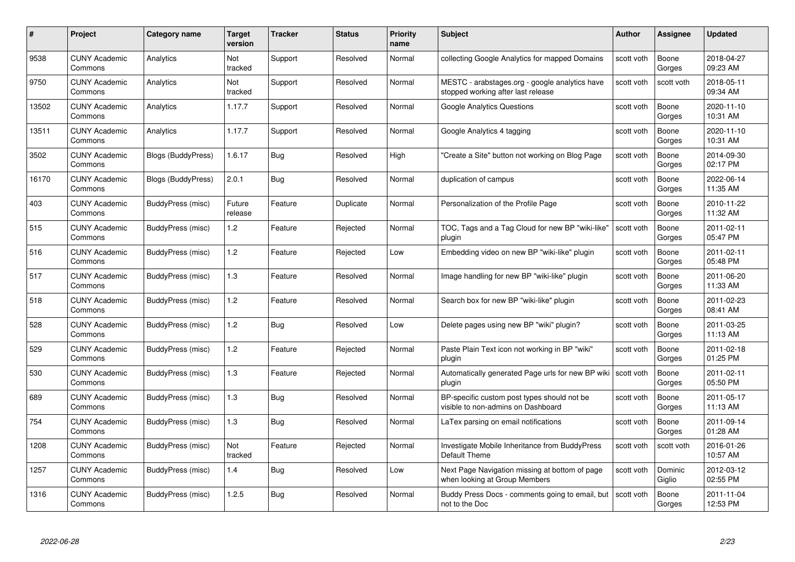| #     | Project                         | Category name             | Target<br>version | <b>Tracker</b> | <b>Status</b> | <b>Priority</b><br>name | <b>Subject</b>                                                                       | <b>Author</b> | <b>Assignee</b>   | <b>Updated</b>         |
|-------|---------------------------------|---------------------------|-------------------|----------------|---------------|-------------------------|--------------------------------------------------------------------------------------|---------------|-------------------|------------------------|
| 9538  | <b>CUNY Academic</b><br>Commons | Analytics                 | Not<br>tracked    | Support        | Resolved      | Normal                  | collecting Google Analytics for mapped Domains                                       | scott voth    | Boone<br>Gorges   | 2018-04-27<br>09:23 AM |
| 9750  | <b>CUNY Academic</b><br>Commons | Analytics                 | Not<br>tracked    | Support        | Resolved      | Normal                  | MESTC - arabstages.org - google analytics have<br>stopped working after last release | scott voth    | scott voth        | 2018-05-11<br>09:34 AM |
| 13502 | <b>CUNY Academic</b><br>Commons | Analytics                 | 1.17.7            | Support        | Resolved      | Normal                  | <b>Google Analytics Questions</b>                                                    | scott voth    | Boone<br>Gorges   | 2020-11-10<br>10:31 AM |
| 13511 | <b>CUNY Academic</b><br>Commons | Analytics                 | 1.17.7            | Support        | Resolved      | Normal                  | Google Analytics 4 tagging                                                           | scott voth    | Boone<br>Gorges   | 2020-11-10<br>10:31 AM |
| 3502  | <b>CUNY Academic</b><br>Commons | <b>Blogs (BuddyPress)</b> | 1.6.17            | <b>Bug</b>     | Resolved      | High                    | "Create a Site" button not working on Blog Page                                      | scott voth    | Boone<br>Gorges   | 2014-09-30<br>02:17 PM |
| 16170 | <b>CUNY Academic</b><br>Commons | Blogs (BuddyPress)        | 2.0.1             | <b>Bug</b>     | Resolved      | Normal                  | duplication of campus                                                                | scott voth    | Boone<br>Gorges   | 2022-06-14<br>11:35 AM |
| 403   | <b>CUNY Academic</b><br>Commons | BuddyPress (misc)         | Future<br>release | Feature        | Duplicate     | Normal                  | Personalization of the Profile Page                                                  | scott voth    | Boone<br>Gorges   | 2010-11-22<br>11:32 AM |
| 515   | <b>CUNY Academic</b><br>Commons | BuddyPress (misc)         | 1.2               | Feature        | Rejected      | Normal                  | TOC, Tags and a Tag Cloud for new BP "wiki-like"<br>plugin                           | scott voth    | Boone<br>Gorges   | 2011-02-11<br>05:47 PM |
| 516   | <b>CUNY Academic</b><br>Commons | BuddyPress (misc)         | 1.2               | Feature        | Rejected      | Low                     | Embedding video on new BP "wiki-like" plugin                                         | scott voth    | Boone<br>Gorges   | 2011-02-11<br>05:48 PM |
| 517   | <b>CUNY Academic</b><br>Commons | BuddyPress (misc)         | 1.3               | Feature        | Resolved      | Normal                  | Image handling for new BP "wiki-like" plugin                                         | scott voth    | Boone<br>Gorges   | 2011-06-20<br>11:33 AM |
| 518   | <b>CUNY Academic</b><br>Commons | BuddyPress (misc)         | 1.2               | Feature        | Resolved      | Normal                  | Search box for new BP "wiki-like" plugin                                             | scott voth    | Boone<br>Gorges   | 2011-02-23<br>08:41 AM |
| 528   | <b>CUNY Academic</b><br>Commons | BuddyPress (misc)         | 1.2               | Bug            | Resolved      | Low                     | Delete pages using new BP "wiki" plugin?                                             | scott voth    | Boone<br>Gorges   | 2011-03-25<br>11:13 AM |
| 529   | <b>CUNY Academic</b><br>Commons | BuddyPress (misc)         | 1.2               | Feature        | Rejected      | Normal                  | Paste Plain Text icon not working in BP "wiki"<br>plugin                             | scott voth    | Boone<br>Gorges   | 2011-02-18<br>01:25 PM |
| 530   | <b>CUNY Academic</b><br>Commons | BuddyPress (misc)         | 1.3               | Feature        | Rejected      | Normal                  | Automatically generated Page urls for new BP wiki<br>plugin                          | scott voth    | Boone<br>Gorges   | 2011-02-11<br>05:50 PM |
| 689   | <b>CUNY Academic</b><br>Commons | BuddyPress (misc)         | $1.3$             | Bug            | Resolved      | Normal                  | BP-specific custom post types should not be<br>visible to non-admins on Dashboard    | scott voth    | Boone<br>Gorges   | 2011-05-17<br>11:13 AM |
| 754   | <b>CUNY Academic</b><br>Commons | BuddyPress (misc)         | $1.3$             | <b>Bug</b>     | Resolved      | Normal                  | LaTex parsing on email notifications                                                 | scott voth    | Boone<br>Gorges   | 2011-09-14<br>01:28 AM |
| 1208  | <b>CUNY Academic</b><br>Commons | BuddyPress (misc)         | Not<br>tracked    | Feature        | Rejected      | Normal                  | Investigate Mobile Inheritance from BuddyPress<br>Default Theme                      | scott voth    | scott voth        | 2016-01-26<br>10:57 AM |
| 1257  | <b>CUNY Academic</b><br>Commons | BuddyPress (misc)         | 1.4               | <b>Bug</b>     | Resolved      | Low                     | Next Page Navigation missing at bottom of page<br>when looking at Group Members      | scott voth    | Dominic<br>Giglio | 2012-03-12<br>02:55 PM |
| 1316  | CUNY Academic<br>Commons        | BuddyPress (misc)         | 1.2.5             | <b>Bug</b>     | Resolved      | Normal                  | Buddy Press Docs - comments going to email, but<br>not to the Doc                    | scott voth    | Boone<br>Gorges   | 2011-11-04<br>12:53 PM |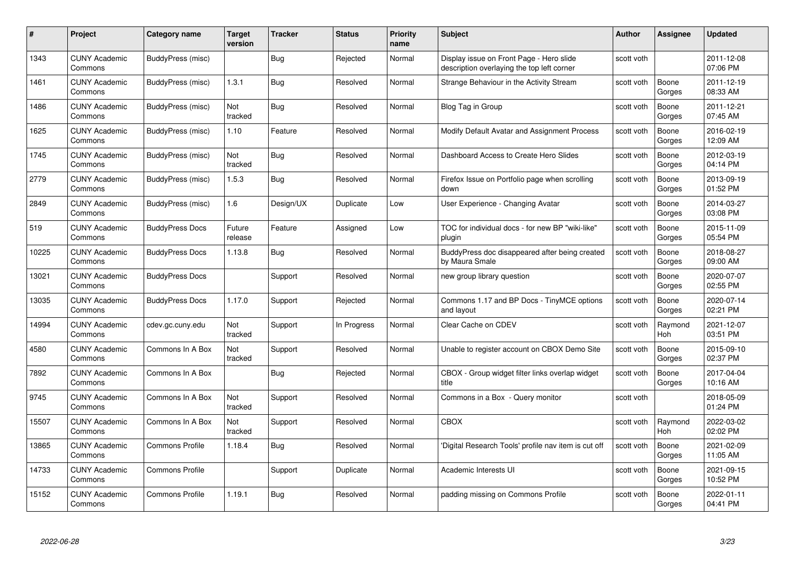| #     | Project                         | <b>Category name</b>   | <b>Target</b><br>version | <b>Tracker</b> | <b>Status</b> | <b>Priority</b><br>name | <b>Subject</b>                                                                         | <b>Author</b> | <b>Assignee</b> | <b>Updated</b>         |
|-------|---------------------------------|------------------------|--------------------------|----------------|---------------|-------------------------|----------------------------------------------------------------------------------------|---------------|-----------------|------------------------|
| 1343  | <b>CUNY Academic</b><br>Commons | BuddyPress (misc)      |                          | Bug            | Rejected      | Normal                  | Display issue on Front Page - Hero slide<br>description overlaying the top left corner | scott voth    |                 | 2011-12-08<br>07:06 PM |
| 1461  | <b>CUNY Academic</b><br>Commons | BuddyPress (misc)      | 1.3.1                    | Bug            | Resolved      | Normal                  | Strange Behaviour in the Activity Stream                                               | scott voth    | Boone<br>Gorges | 2011-12-19<br>08:33 AM |
| 1486  | <b>CUNY Academic</b><br>Commons | BuddyPress (misc)      | Not<br>tracked           | <b>Bug</b>     | Resolved      | Normal                  | Blog Tag in Group                                                                      | scott voth    | Boone<br>Gorges | 2011-12-21<br>07:45 AM |
| 1625  | <b>CUNY Academic</b><br>Commons | BuddyPress (misc)      | 1.10                     | Feature        | Resolved      | Normal                  | Modify Default Avatar and Assignment Process                                           | scott voth    | Boone<br>Gorges | 2016-02-19<br>12:09 AM |
| 1745  | <b>CUNY Academic</b><br>Commons | BuddyPress (misc)      | Not<br>tracked           | <b>Bug</b>     | Resolved      | Normal                  | Dashboard Access to Create Hero Slides                                                 | scott voth    | Boone<br>Gorges | 2012-03-19<br>04:14 PM |
| 2779  | <b>CUNY Academic</b><br>Commons | BuddyPress (misc)      | 1.5.3                    | Bug            | Resolved      | Normal                  | Firefox Issue on Portfolio page when scrolling<br>down                                 | scott voth    | Boone<br>Gorges | 2013-09-19<br>01:52 PM |
| 2849  | <b>CUNY Academic</b><br>Commons | BuddyPress (misc)      | 1.6                      | Design/UX      | Duplicate     | Low                     | User Experience - Changing Avatar                                                      | scott voth    | Boone<br>Gorges | 2014-03-27<br>03:08 PM |
| 519   | <b>CUNY Academic</b><br>Commons | <b>BuddyPress Docs</b> | Future<br>release        | Feature        | Assigned      | Low                     | TOC for individual docs - for new BP "wiki-like"<br>plugin                             | scott voth    | Boone<br>Gorges | 2015-11-09<br>05:54 PM |
| 10225 | <b>CUNY Academic</b><br>Commons | <b>BuddyPress Docs</b> | 1.13.8                   | Bug            | Resolved      | Normal                  | BuddyPress doc disappeared after being created<br>by Maura Smale                       | scott voth    | Boone<br>Gorges | 2018-08-27<br>09:00 AM |
| 13021 | <b>CUNY Academic</b><br>Commons | <b>BuddyPress Docs</b> |                          | Support        | Resolved      | Normal                  | new group library question                                                             | scott voth    | Boone<br>Gorges | 2020-07-07<br>02:55 PM |
| 13035 | CUNY Academic<br>Commons        | <b>BuddyPress Docs</b> | 1.17.0                   | Support        | Rejected      | Normal                  | Commons 1.17 and BP Docs - TinyMCE options<br>and layout                               | scott voth    | Boone<br>Gorges | 2020-07-14<br>02:21 PM |
| 14994 | <b>CUNY Academic</b><br>Commons | cdev.gc.cuny.edu       | Not<br>tracked           | Support        | In Progress   | Normal                  | Clear Cache on CDEV                                                                    | scott voth    | Raymond<br>Hoh  | 2021-12-07<br>03:51 PM |
| 4580  | <b>CUNY Academic</b><br>Commons | Commons In A Box       | Not<br>tracked           | Support        | Resolved      | Normal                  | Unable to register account on CBOX Demo Site                                           | scott voth    | Boone<br>Gorges | 2015-09-10<br>02:37 PM |
| 7892  | <b>CUNY Academic</b><br>Commons | Commons In A Box       |                          | <b>Bug</b>     | Rejected      | Normal                  | CBOX - Group widget filter links overlap widget<br>title                               | scott voth    | Boone<br>Gorges | 2017-04-04<br>10:16 AM |
| 9745  | <b>CUNY Academic</b><br>Commons | Commons In A Box       | Not<br>tracked           | Support        | Resolved      | Normal                  | Commons in a Box - Query monitor                                                       | scott voth    |                 | 2018-05-09<br>01:24 PM |
| 15507 | <b>CUNY Academic</b><br>Commons | Commons In A Box       | Not<br>tracked           | Support        | Resolved      | Normal                  | <b>CBOX</b>                                                                            | scott voth    | Raymond<br>Hoh  | 2022-03-02<br>02:02 PM |
| 13865 | <b>CUNY Academic</b><br>Commons | <b>Commons Profile</b> | 1.18.4                   | <b>Bug</b>     | Resolved      | Normal                  | 'Digital Research Tools' profile nav item is cut off                                   | scott voth    | Boone<br>Gorges | 2021-02-09<br>11:05 AM |
| 14733 | <b>CUNY Academic</b><br>Commons | <b>Commons Profile</b> |                          | Support        | Duplicate     | Normal                  | Academic Interests UI                                                                  | scott voth    | Boone<br>Gorges | 2021-09-15<br>10:52 PM |
| 15152 | CUNY Academic<br>Commons        | <b>Commons Profile</b> | 1.19.1                   | Bug            | Resolved      | Normal                  | padding missing on Commons Profile                                                     | scott voth    | Boone<br>Gorges | 2022-01-11<br>04:41 PM |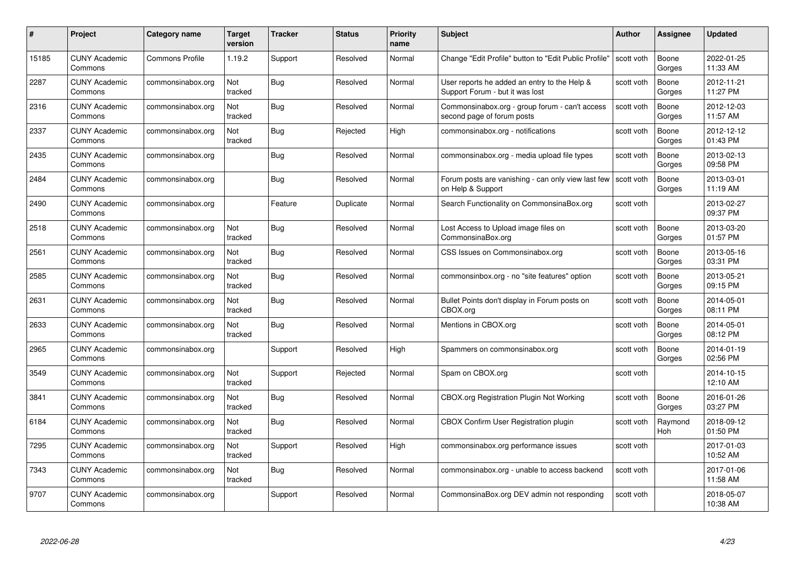| #     | Project                         | Category name          | Target<br>version | <b>Tracker</b> | <b>Status</b> | <b>Priority</b><br>name | <b>Subject</b>                                                                  | Author     | <b>Assignee</b>       | <b>Updated</b>         |
|-------|---------------------------------|------------------------|-------------------|----------------|---------------|-------------------------|---------------------------------------------------------------------------------|------------|-----------------------|------------------------|
| 15185 | <b>CUNY Academic</b><br>Commons | <b>Commons Profile</b> | 1.19.2            | Support        | Resolved      | Normal                  | Change "Edit Profile" button to "Edit Public Profile"                           | scott voth | Boone<br>Gorges       | 2022-01-25<br>11:33 AM |
| 2287  | <b>CUNY Academic</b><br>Commons | commonsinabox.org      | Not<br>tracked    | <b>Bug</b>     | Resolved      | Normal                  | User reports he added an entry to the Help &<br>Support Forum - but it was lost | scott voth | Boone<br>Gorges       | 2012-11-21<br>11:27 PM |
| 2316  | <b>CUNY Academic</b><br>Commons | commonsinabox.org      | Not<br>tracked    | <b>Bug</b>     | Resolved      | Normal                  | Commonsinabox.org - group forum - can't access<br>second page of forum posts    | scott voth | Boone<br>Gorges       | 2012-12-03<br>11:57 AM |
| 2337  | <b>CUNY Academic</b><br>Commons | commonsinabox.org      | Not<br>tracked    | <b>Bug</b>     | Rejected      | High                    | commonsinabox.org - notifications                                               | scott voth | Boone<br>Gorges       | 2012-12-12<br>01:43 PM |
| 2435  | <b>CUNY Academic</b><br>Commons | commonsinabox.org      |                   | <b>Bug</b>     | Resolved      | Normal                  | commonsinabox.org - media upload file types                                     | scott voth | Boone<br>Gorges       | 2013-02-13<br>09:58 PM |
| 2484  | <b>CUNY Academic</b><br>Commons | commonsinabox.org      |                   | <b>Bug</b>     | Resolved      | Normal                  | Forum posts are vanishing - can only view last few<br>on Help & Support         | scott voth | Boone<br>Gorges       | 2013-03-01<br>11:19 AM |
| 2490  | <b>CUNY Academic</b><br>Commons | commonsinabox.org      |                   | Feature        | Duplicate     | Normal                  | Search Functionality on CommonsinaBox.org                                       | scott voth |                       | 2013-02-27<br>09:37 PM |
| 2518  | <b>CUNY Academic</b><br>Commons | commonsinabox.org      | Not<br>tracked    | <b>Bug</b>     | Resolved      | Normal                  | Lost Access to Upload image files on<br>CommonsinaBox.org                       | scott voth | Boone<br>Gorges       | 2013-03-20<br>01:57 PM |
| 2561  | <b>CUNY Academic</b><br>Commons | commonsinabox.org      | Not<br>tracked    | Bug            | Resolved      | Normal                  | CSS Issues on Commonsinabox.org                                                 | scott voth | Boone<br>Gorges       | 2013-05-16<br>03:31 PM |
| 2585  | <b>CUNY Academic</b><br>Commons | commonsinabox.org      | Not<br>tracked    | <b>Bug</b>     | Resolved      | Normal                  | commonsinbox.org - no "site features" option                                    | scott voth | Boone<br>Gorges       | 2013-05-21<br>09:15 PM |
| 2631  | <b>CUNY Academic</b><br>Commons | commonsinabox.org      | Not<br>tracked    | Bug            | Resolved      | Normal                  | Bullet Points don't display in Forum posts on<br>CBOX.org                       | scott voth | Boone<br>Gorges       | 2014-05-01<br>08:11 PM |
| 2633  | <b>CUNY Academic</b><br>Commons | commonsinabox.org      | Not<br>tracked    | <b>Bug</b>     | Resolved      | Normal                  | Mentions in CBOX.org                                                            | scott voth | Boone<br>Gorges       | 2014-05-01<br>08:12 PM |
| 2965  | <b>CUNY Academic</b><br>Commons | commonsinabox.org      |                   | Support        | Resolved      | High                    | Spammers on commonsinabox.org                                                   | scott voth | Boone<br>Gorges       | 2014-01-19<br>02:56 PM |
| 3549  | <b>CUNY Academic</b><br>Commons | commonsinabox.org      | Not<br>tracked    | Support        | Rejected      | Normal                  | Spam on CBOX.org                                                                | scott voth |                       | 2014-10-15<br>12:10 AM |
| 3841  | <b>CUNY Academic</b><br>Commons | commonsinabox.org      | Not<br>tracked    | Bug            | Resolved      | Normal                  | CBOX.org Registration Plugin Not Working                                        | scott voth | Boone<br>Gorges       | 2016-01-26<br>03:27 PM |
| 6184  | <b>CUNY Academic</b><br>Commons | commonsinabox.org      | Not<br>tracked    | <b>Bug</b>     | Resolved      | Normal                  | <b>CBOX Confirm User Registration plugin</b>                                    | scott voth | Raymond<br><b>Hoh</b> | 2018-09-12<br>01:50 PM |
| 7295  | <b>CUNY Academic</b><br>Commons | commonsinabox.org      | Not<br>tracked    | Support        | Resolved      | High                    | commonsinabox.org performance issues                                            | scott voth |                       | 2017-01-03<br>10:52 AM |
| 7343  | <b>CUNY Academic</b><br>Commons | commonsinabox.org      | Not<br>tracked    | <b>Bug</b>     | Resolved      | Normal                  | commonsinabox.org - unable to access backend                                    | scott voth |                       | 2017-01-06<br>11:58 AM |
| 9707  | CUNY Academic<br>Commons        | commonsinabox.org      |                   | Support        | Resolved      | Normal                  | CommonsinaBox.org DEV admin not responding                                      | scott voth |                       | 2018-05-07<br>10:38 AM |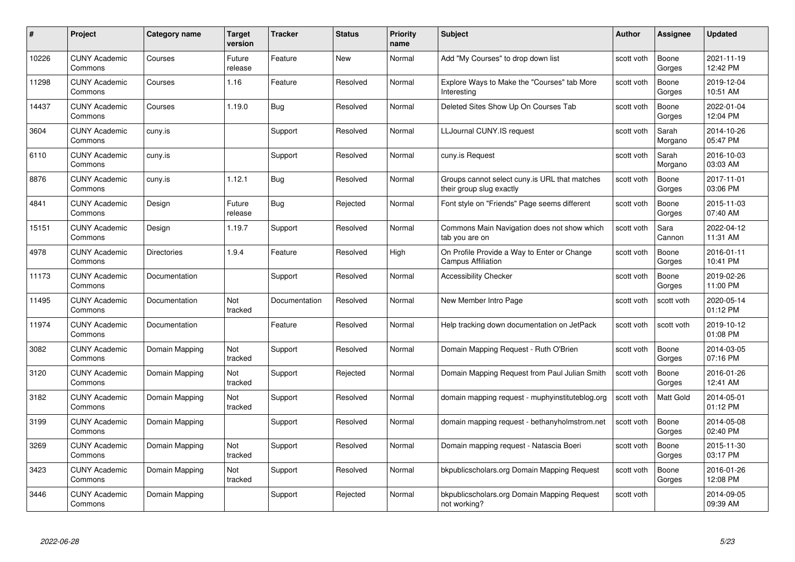| #     | Project                         | Category name      | <b>Target</b><br>version | <b>Tracker</b> | <b>Status</b> | <b>Priority</b><br>name | <b>Subject</b>                                                            | <b>Author</b> | Assignee         | <b>Updated</b>         |
|-------|---------------------------------|--------------------|--------------------------|----------------|---------------|-------------------------|---------------------------------------------------------------------------|---------------|------------------|------------------------|
| 10226 | <b>CUNY Academic</b><br>Commons | Courses            | Future<br>release        | Feature        | <b>New</b>    | Normal                  | Add "My Courses" to drop down list                                        | scott voth    | Boone<br>Gorges  | 2021-11-19<br>12:42 PM |
| 11298 | <b>CUNY Academic</b><br>Commons | Courses            | 1.16                     | Feature        | Resolved      | Normal                  | Explore Ways to Make the "Courses" tab More<br>Interesting                | scott voth    | Boone<br>Gorges  | 2019-12-04<br>10:51 AM |
| 14437 | <b>CUNY Academic</b><br>Commons | Courses            | 1.19.0                   | <b>Bug</b>     | Resolved      | Normal                  | Deleted Sites Show Up On Courses Tab                                      | scott voth    | Boone<br>Gorges  | 2022-01-04<br>12:04 PM |
| 3604  | <b>CUNY Academic</b><br>Commons | cuny.is            |                          | Support        | Resolved      | Normal                  | LLJournal CUNY.IS request                                                 | scott voth    | Sarah<br>Morgano | 2014-10-26<br>05:47 PM |
| 6110  | <b>CUNY Academic</b><br>Commons | cuny.is            |                          | Support        | Resolved      | Normal                  | cuny.is Request                                                           | scott voth    | Sarah<br>Morgano | 2016-10-03<br>03:03 AM |
| 8876  | <b>CUNY Academic</b><br>Commons | cuny.is            | 1.12.1                   | Bug            | Resolved      | Normal                  | Groups cannot select cuny is URL that matches<br>their group slug exactly | scott voth    | Boone<br>Gorges  | 2017-11-01<br>03:06 PM |
| 4841  | <b>CUNY Academic</b><br>Commons | Design             | Future<br>release        | Bug            | Rejected      | Normal                  | Font style on "Friends" Page seems different                              | scott voth    | Boone<br>Gorges  | 2015-11-03<br>07:40 AM |
| 15151 | <b>CUNY Academic</b><br>Commons | Design             | 1.19.7                   | Support        | Resolved      | Normal                  | Commons Main Navigation does not show which<br>tab you are on             | scott voth    | Sara<br>Cannon   | 2022-04-12<br>11:31 AM |
| 4978  | <b>CUNY Academic</b><br>Commons | <b>Directories</b> | 1.9.4                    | Feature        | Resolved      | High                    | On Profile Provide a Way to Enter or Change<br><b>Campus Affiliation</b>  | scott voth    | Boone<br>Gorges  | 2016-01-11<br>10:41 PM |
| 11173 | <b>CUNY Academic</b><br>Commons | Documentation      |                          | Support        | Resolved      | Normal                  | <b>Accessibility Checker</b>                                              | scott voth    | Boone<br>Gorges  | 2019-02-26<br>11:00 PM |
| 11495 | <b>CUNY Academic</b><br>Commons | Documentation      | Not<br>tracked           | Documentation  | Resolved      | Normal                  | New Member Intro Page                                                     | scott voth    | scott voth       | 2020-05-14<br>01:12 PM |
| 11974 | <b>CUNY Academic</b><br>Commons | Documentation      |                          | Feature        | Resolved      | Normal                  | Help tracking down documentation on JetPack                               | scott voth    | scott voth       | 2019-10-12<br>01:08 PM |
| 3082  | <b>CUNY Academic</b><br>Commons | Domain Mapping     | Not<br>tracked           | Support        | Resolved      | Normal                  | Domain Mapping Request - Ruth O'Brien                                     | scott voth    | Boone<br>Gorges  | 2014-03-05<br>07:16 PM |
| 3120  | <b>CUNY Academic</b><br>Commons | Domain Mapping     | Not<br>tracked           | Support        | Rejected      | Normal                  | Domain Mapping Request from Paul Julian Smith                             | scott voth    | Boone<br>Gorges  | 2016-01-26<br>12:41 AM |
| 3182  | <b>CUNY Academic</b><br>Commons | Domain Mapping     | Not<br>tracked           | Support        | Resolved      | Normal                  | domain mapping request - muphyinstituteblog.org                           | scott voth    | Matt Gold        | 2014-05-01<br>01:12 PM |
| 3199  | <b>CUNY Academic</b><br>Commons | Domain Mapping     |                          | Support        | Resolved      | Normal                  | domain mapping request - bethanyholmstrom.net                             | scott voth    | Boone<br>Gorges  | 2014-05-08<br>02:40 PM |
| 3269  | <b>CUNY Academic</b><br>Commons | Domain Mapping     | Not<br>tracked           | Support        | Resolved      | Normal                  | Domain mapping request - Natascia Boeri                                   | scott voth    | Boone<br>Gorges  | 2015-11-30<br>03:17 PM |
| 3423  | <b>CUNY Academic</b><br>Commons | Domain Mapping     | Not<br>tracked           | Support        | Resolved      | Normal                  | bkpublicscholars.org Domain Mapping Request                               | scott voth    | Boone<br>Gorges  | 2016-01-26<br>12:08 PM |
| 3446  | <b>CUNY Academic</b><br>Commons | Domain Mapping     |                          | Support        | Rejected      | Normal                  | bkpublicscholars.org Domain Mapping Request<br>not working?               | scott voth    |                  | 2014-09-05<br>09:39 AM |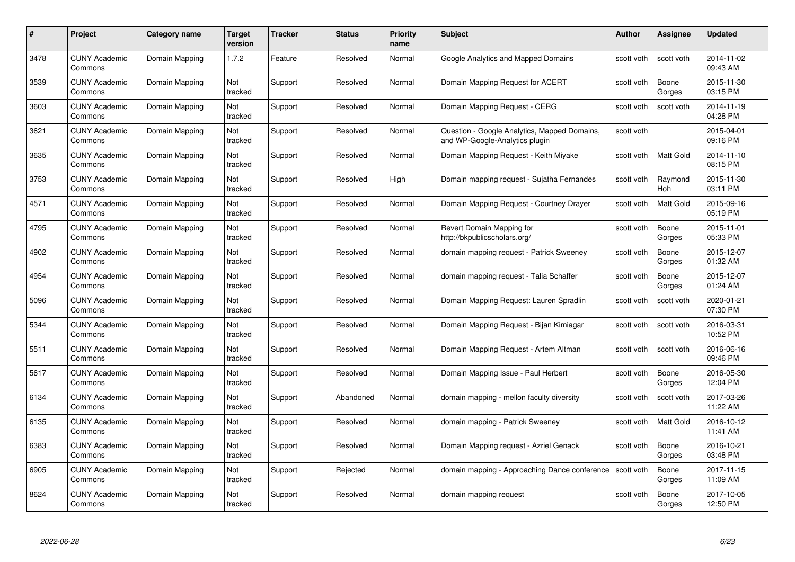| #    | Project                         | Category name  | Target<br>version | <b>Tracker</b> | <b>Status</b> | <b>Priority</b><br>name | <b>Subject</b>                                                                 | Author     | <b>Assignee</b>  | <b>Updated</b>         |
|------|---------------------------------|----------------|-------------------|----------------|---------------|-------------------------|--------------------------------------------------------------------------------|------------|------------------|------------------------|
| 3478 | <b>CUNY Academic</b><br>Commons | Domain Mapping | 1.7.2             | Feature        | Resolved      | Normal                  | Google Analytics and Mapped Domains                                            | scott voth | scott voth       | 2014-11-02<br>09:43 AM |
| 3539 | <b>CUNY Academic</b><br>Commons | Domain Mapping | Not<br>tracked    | Support        | Resolved      | Normal                  | Domain Mapping Request for ACERT                                               | scott voth | Boone<br>Gorges  | 2015-11-30<br>03:15 PM |
| 3603 | <b>CUNY Academic</b><br>Commons | Domain Mapping | Not<br>tracked    | Support        | Resolved      | Normal                  | Domain Mapping Request - CERG                                                  | scott voth | scott voth       | 2014-11-19<br>04:28 PM |
| 3621 | <b>CUNY Academic</b><br>Commons | Domain Mapping | Not<br>tracked    | Support        | Resolved      | Normal                  | Question - Google Analytics, Mapped Domains,<br>and WP-Google-Analytics plugin | scott voth |                  | 2015-04-01<br>09:16 PM |
| 3635 | <b>CUNY Academic</b><br>Commons | Domain Mapping | Not<br>tracked    | Support        | Resolved      | Normal                  | Domain Mapping Request - Keith Miyake                                          | scott voth | <b>Matt Gold</b> | 2014-11-10<br>08:15 PM |
| 3753 | <b>CUNY Academic</b><br>Commons | Domain Mapping | Not<br>tracked    | Support        | Resolved      | High                    | Domain mapping request - Sujatha Fernandes                                     | scott voth | Raymond<br>Hoh   | 2015-11-30<br>03:11 PM |
| 4571 | <b>CUNY Academic</b><br>Commons | Domain Mapping | Not<br>tracked    | Support        | Resolved      | Normal                  | Domain Mapping Request - Courtney Drayer                                       | scott voth | Matt Gold        | 2015-09-16<br>05:19 PM |
| 4795 | <b>CUNY Academic</b><br>Commons | Domain Mapping | Not<br>tracked    | Support        | Resolved      | Normal                  | Revert Domain Mapping for<br>http://bkpublicscholars.org/                      | scott voth | Boone<br>Gorges  | 2015-11-01<br>05:33 PM |
| 4902 | <b>CUNY Academic</b><br>Commons | Domain Mapping | Not<br>tracked    | Support        | Resolved      | Normal                  | domain mapping request - Patrick Sweeney                                       | scott voth | Boone<br>Gorges  | 2015-12-07<br>01:32 AM |
| 4954 | <b>CUNY Academic</b><br>Commons | Domain Mapping | Not<br>tracked    | Support        | Resolved      | Normal                  | domain mapping request - Talia Schaffer                                        | scott voth | Boone<br>Gorges  | 2015-12-07<br>01:24 AM |
| 5096 | <b>CUNY Academic</b><br>Commons | Domain Mapping | Not<br>tracked    | Support        | Resolved      | Normal                  | Domain Mapping Request: Lauren Spradlin                                        | scott voth | scott voth       | 2020-01-21<br>07:30 PM |
| 5344 | <b>CUNY Academic</b><br>Commons | Domain Mapping | Not<br>tracked    | Support        | Resolved      | Normal                  | Domain Mapping Request - Bijan Kimiagar                                        | scott voth | scott voth       | 2016-03-31<br>10:52 PM |
| 5511 | <b>CUNY Academic</b><br>Commons | Domain Mapping | Not<br>tracked    | Support        | Resolved      | Normal                  | Domain Mapping Request - Artem Altman                                          | scott voth | scott voth       | 2016-06-16<br>09:46 PM |
| 5617 | <b>CUNY Academic</b><br>Commons | Domain Mapping | Not<br>tracked    | Support        | Resolved      | Normal                  | Domain Mapping Issue - Paul Herbert                                            | scott voth | Boone<br>Gorges  | 2016-05-30<br>12:04 PM |
| 6134 | <b>CUNY Academic</b><br>Commons | Domain Mapping | Not<br>tracked    | Support        | Abandoned     | Normal                  | domain mapping - mellon faculty diversity                                      | scott voth | scott voth       | 2017-03-26<br>11:22 AM |
| 6135 | <b>CUNY Academic</b><br>Commons | Domain Mapping | Not<br>tracked    | Support        | Resolved      | Normal                  | domain mapping - Patrick Sweeney                                               | scott voth | Matt Gold        | 2016-10-12<br>11:41 AM |
| 6383 | <b>CUNY Academic</b><br>Commons | Domain Mapping | Not<br>tracked    | Support        | Resolved      | Normal                  | Domain Mapping request - Azriel Genack                                         | scott voth | Boone<br>Gorges  | 2016-10-21<br>03:48 PM |
| 6905 | <b>CUNY Academic</b><br>Commons | Domain Mapping | Not<br>tracked    | Support        | Rejected      | Normal                  | domain mapping - Approaching Dance conference                                  | scott voth | Boone<br>Gorges  | 2017-11-15<br>11:09 AM |
| 8624 | CUNY Academic<br>Commons        | Domain Mapping | Not<br>tracked    | Support        | Resolved      | Normal                  | domain mapping request                                                         | scott voth | Boone<br>Gorges  | 2017-10-05<br>12:50 PM |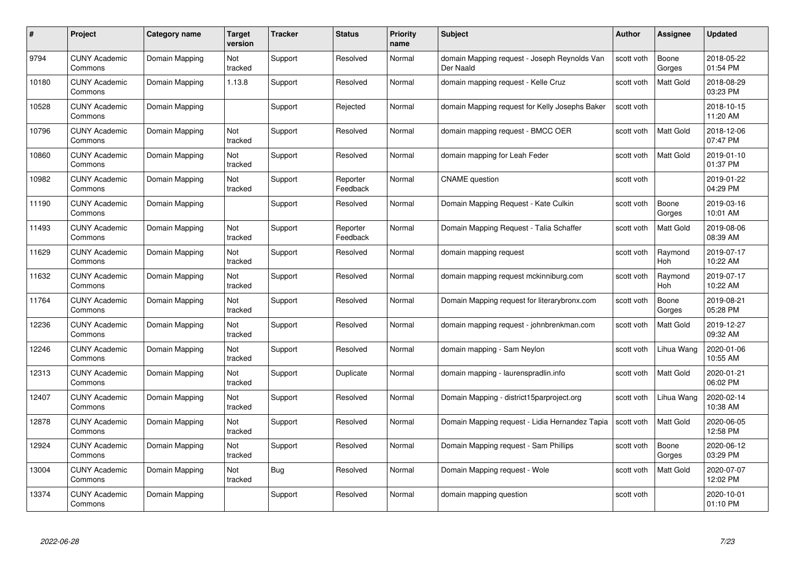| #     | Project                         | <b>Category name</b> | Target<br>version     | <b>Tracker</b> | <b>Status</b>        | <b>Priority</b><br>name | <b>Subject</b>                                            | <b>Author</b> | Assignee              | <b>Updated</b>         |
|-------|---------------------------------|----------------------|-----------------------|----------------|----------------------|-------------------------|-----------------------------------------------------------|---------------|-----------------------|------------------------|
| 9794  | <b>CUNY Academic</b><br>Commons | Domain Mapping       | <b>Not</b><br>tracked | Support        | Resolved             | Normal                  | domain Mapping request - Joseph Reynolds Van<br>Der Naald | scott voth    | Boone<br>Gorges       | 2018-05-22<br>01:54 PM |
| 10180 | <b>CUNY Academic</b><br>Commons | Domain Mapping       | 1.13.8                | Support        | Resolved             | Normal                  | domain mapping request - Kelle Cruz                       | scott voth    | Matt Gold             | 2018-08-29<br>03:23 PM |
| 10528 | <b>CUNY Academic</b><br>Commons | Domain Mapping       |                       | Support        | Rejected             | Normal                  | domain Mapping request for Kelly Josephs Baker            | scott voth    |                       | 2018-10-15<br>11:20 AM |
| 10796 | <b>CUNY Academic</b><br>Commons | Domain Mapping       | Not<br>tracked        | Support        | Resolved             | Normal                  | domain mapping request - BMCC OER                         | scott voth    | Matt Gold             | 2018-12-06<br>07:47 PM |
| 10860 | CUNY Academic<br>Commons        | Domain Mapping       | Not<br>tracked        | Support        | Resolved             | Normal                  | domain mapping for Leah Feder                             | scott voth    | <b>Matt Gold</b>      | 2019-01-10<br>01:37 PM |
| 10982 | <b>CUNY Academic</b><br>Commons | Domain Mapping       | Not<br>tracked        | Support        | Reporter<br>Feedback | Normal                  | <b>CNAME</b> question                                     | scott voth    |                       | 2019-01-22<br>04:29 PM |
| 11190 | <b>CUNY Academic</b><br>Commons | Domain Mapping       |                       | Support        | Resolved             | Normal                  | Domain Mapping Request - Kate Culkin                      | scott voth    | Boone<br>Gorges       | 2019-03-16<br>10:01 AM |
| 11493 | <b>CUNY Academic</b><br>Commons | Domain Mapping       | Not<br>tracked        | Support        | Reporter<br>Feedback | Normal                  | Domain Mapping Request - Talia Schaffer                   | scott voth    | <b>Matt Gold</b>      | 2019-08-06<br>08:39 AM |
| 11629 | <b>CUNY Academic</b><br>Commons | Domain Mapping       | Not<br>tracked        | Support        | Resolved             | Normal                  | domain mapping request                                    | scott voth    | Raymond<br>Hoh        | 2019-07-17<br>10:22 AM |
| 11632 | <b>CUNY Academic</b><br>Commons | Domain Mapping       | Not<br>tracked        | Support        | Resolved             | Normal                  | domain mapping reguest mckinniburg.com                    | scott voth    | Raymond<br><b>Hoh</b> | 2019-07-17<br>10:22 AM |
| 11764 | CUNY Academic<br>Commons        | Domain Mapping       | Not<br>tracked        | Support        | Resolved             | Normal                  | Domain Mapping request for literarybronx.com              | scott voth    | Boone<br>Gorges       | 2019-08-21<br>05:28 PM |
| 2236  | <b>CUNY Academic</b><br>Commons | Domain Mapping       | Not<br>tracked        | Support        | Resolved             | Normal                  | domain mapping request - johnbrenkman.com                 | scott voth    | <b>Matt Gold</b>      | 2019-12-27<br>09:32 AM |
| 12246 | <b>CUNY Academic</b><br>Commons | Domain Mapping       | Not<br>tracked        | Support        | Resolved             | Normal                  | domain mapping - Sam Neylon                               | scott voth    | Lihua Wang            | 2020-01-06<br>10:55 AM |
| 12313 | <b>CUNY Academic</b><br>Commons | Domain Mapping       | Not<br>tracked        | Support        | Duplicate            | Normal                  | domain mapping - laurenspradlin.info                      | scott voth    | Matt Gold             | 2020-01-21<br>06:02 PM |
| 12407 | <b>CUNY Academic</b><br>Commons | Domain Mapping       | Not<br>tracked        | Support        | Resolved             | Normal                  | Domain Mapping - district15parproject.org                 | scott voth    | Lihua Wang            | 2020-02-14<br>10:38 AM |
| 12878 | <b>CUNY Academic</b><br>Commons | Domain Mapping       | Not<br>tracked        | Support        | Resolved             | Normal                  | Domain Mapping request - Lidia Hernandez Tapia            | scott voth    | <b>Matt Gold</b>      | 2020-06-05<br>12:58 PM |
| 12924 | <b>CUNY Academic</b><br>Commons | Domain Mapping       | Not<br>tracked        | Support        | Resolved             | Normal                  | Domain Mapping request - Sam Phillips                     | scott voth    | Boone<br>Gorges       | 2020-06-12<br>03:29 PM |
| 13004 | <b>CUNY Academic</b><br>Commons | Domain Mapping       | Not<br>tracked        | <b>Bug</b>     | Resolved             | Normal                  | Domain Mapping request - Wole                             | scott voth    | Matt Gold             | 2020-07-07<br>12:02 PM |
| 13374 | CUNY Academic<br>Commons        | Domain Mapping       |                       | Support        | Resolved             | Normal                  | domain mapping question                                   | scott voth    |                       | 2020-10-01<br>01:10 PM |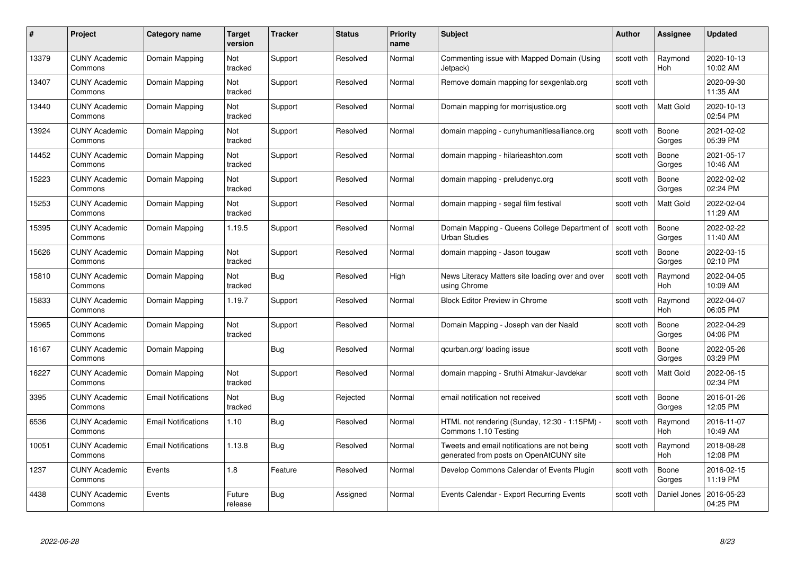| #     | Project                         | <b>Category name</b>       | Target<br>version     | <b>Tracker</b> | <b>Status</b> | <b>Priority</b><br>name | <b>Subject</b>                                                                          | <b>Author</b> | <b>Assignee</b>       | <b>Updated</b>         |
|-------|---------------------------------|----------------------------|-----------------------|----------------|---------------|-------------------------|-----------------------------------------------------------------------------------------|---------------|-----------------------|------------------------|
| 13379 | <b>CUNY Academic</b><br>Commons | Domain Mapping             | Not<br>tracked        | Support        | Resolved      | Normal                  | Commenting issue with Mapped Domain (Using<br>Jetpack)                                  | scott voth    | Raymond<br>Hoh        | 2020-10-13<br>10:02 AM |
| 13407 | <b>CUNY Academic</b><br>Commons | Domain Mapping             | Not<br>tracked        | Support        | Resolved      | Normal                  | Remove domain mapping for sexgenlab.org                                                 | scott voth    |                       | 2020-09-30<br>11:35 AM |
| 13440 | <b>CUNY Academic</b><br>Commons | Domain Mapping             | Not<br>tracked        | Support        | Resolved      | Normal                  | Domain mapping for morrisjustice.org                                                    | scott voth    | <b>Matt Gold</b>      | 2020-10-13<br>02:54 PM |
| 13924 | <b>CUNY Academic</b><br>Commons | Domain Mapping             | Not<br>tracked        | Support        | Resolved      | Normal                  | domain mapping - cunyhumanitiesalliance.org                                             | scott voth    | Boone<br>Gorges       | 2021-02-02<br>05:39 PM |
| 14452 | <b>CUNY Academic</b><br>Commons | Domain Mapping             | <b>Not</b><br>tracked | Support        | Resolved      | Normal                  | domain mapping - hilarieashton.com                                                      | scott voth    | Boone<br>Gorges       | 2021-05-17<br>10:46 AM |
| 15223 | <b>CUNY Academic</b><br>Commons | Domain Mapping             | Not<br>tracked        | Support        | Resolved      | Normal                  | domain mapping - preludenyc.org                                                         | scott voth    | Boone<br>Gorges       | 2022-02-02<br>02:24 PM |
| 15253 | <b>CUNY Academic</b><br>Commons | Domain Mapping             | Not<br>tracked        | Support        | Resolved      | Normal                  | domain mapping - segal film festival                                                    | scott voth    | Matt Gold             | 2022-02-04<br>11:29 AM |
| 15395 | <b>CUNY Academic</b><br>Commons | Domain Mapping             | 1.19.5                | Support        | Resolved      | Normal                  | Domain Mapping - Queens College Department of  <br><b>Urban Studies</b>                 | scott voth    | Boone<br>Gorges       | 2022-02-22<br>11:40 AM |
| 15626 | <b>CUNY Academic</b><br>Commons | Domain Mapping             | Not<br>tracked        | Support        | Resolved      | Normal                  | domain mapping - Jason tougaw                                                           | scott voth    | Boone<br>Gorges       | 2022-03-15<br>02:10 PM |
| 15810 | <b>CUNY Academic</b><br>Commons | Domain Mapping             | Not<br>tracked        | <b>Bug</b>     | Resolved      | High                    | News Literacy Matters site loading over and over<br>using Chrome                        | scott voth    | Raymond<br>Hoh        | 2022-04-05<br>10:09 AM |
| 15833 | <b>CUNY Academic</b><br>Commons | Domain Mapping             | 1.19.7                | Support        | Resolved      | Normal                  | <b>Block Editor Preview in Chrome</b>                                                   | scott voth    | Raymond<br>Hoh        | 2022-04-07<br>06:05 PM |
| 15965 | CUNY Academic<br>Commons        | Domain Mapping             | Not<br>tracked        | Support        | Resolved      | Normal                  | Domain Mapping - Joseph van der Naald                                                   | scott voth    | Boone<br>Gorges       | 2022-04-29<br>04:06 PM |
| 16167 | <b>CUNY Academic</b><br>Commons | Domain Mapping             |                       | <b>Bug</b>     | Resolved      | Normal                  | qcurban.org/loading issue                                                               | scott voth    | Boone<br>Gorges       | 2022-05-26<br>03:29 PM |
| 16227 | <b>CUNY Academic</b><br>Commons | Domain Mapping             | Not<br>tracked        | Support        | Resolved      | Normal                  | domain mapping - Sruthi Atmakur-Javdekar                                                | scott voth    | Matt Gold             | 2022-06-15<br>02:34 PM |
| 3395  | CUNY Academic<br>Commons        | <b>Email Notifications</b> | Not<br>tracked        | Bug            | Rejected      | Normal                  | email notification not received                                                         | scott voth    | Boone<br>Gorges       | 2016-01-26<br>12:05 PM |
| 6536  | <b>CUNY Academic</b><br>Commons | <b>Email Notifications</b> | 1.10                  | Bug            | Resolved      | Normal                  | HTML not rendering (Sunday, 12:30 - 1:15PM) -<br>Commons 1.10 Testing                   | scott voth    | Raymond<br>Hoh        | 2016-11-07<br>10:49 AM |
| 10051 | <b>CUNY Academic</b><br>Commons | <b>Email Notifications</b> | 1.13.8                | Bug            | Resolved      | Normal                  | Tweets and email notifications are not being<br>generated from posts on OpenAtCUNY site | scott voth    | Raymond<br><b>Hoh</b> | 2018-08-28<br>12:08 PM |
| 1237  | <b>CUNY Academic</b><br>Commons | Events                     | 1.8                   | Feature        | Resolved      | Normal                  | Develop Commons Calendar of Events Plugin                                               | scott voth    | Boone<br>Gorges       | 2016-02-15<br>11:19 PM |
| 4438  | CUNY Academic<br>Commons        | Events                     | Future<br>release     | <b>Bug</b>     | Assigned      | Normal                  | Events Calendar - Export Recurring Events                                               | scott voth    | Daniel Jones          | 2016-05-23<br>04:25 PM |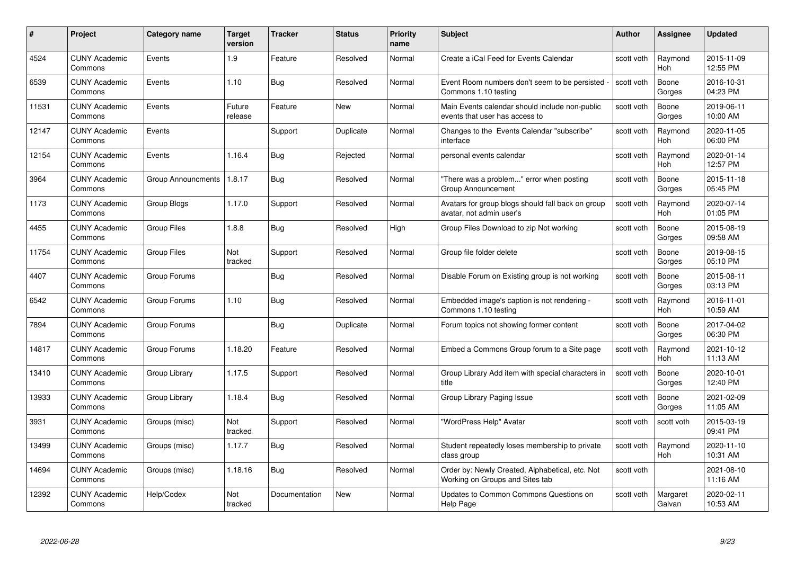| #     | Project                         | Category name             | <b>Target</b><br>version | <b>Tracker</b> | <b>Status</b> | <b>Priority</b><br>name | <b>Subject</b>                                                                     | <b>Author</b> | <b>Assignee</b>       | <b>Updated</b>         |
|-------|---------------------------------|---------------------------|--------------------------|----------------|---------------|-------------------------|------------------------------------------------------------------------------------|---------------|-----------------------|------------------------|
| 4524  | <b>CUNY Academic</b><br>Commons | Events                    | 1.9                      | Feature        | Resolved      | Normal                  | Create a iCal Feed for Events Calendar                                             | scott voth    | Raymond<br><b>Hoh</b> | 2015-11-09<br>12:55 PM |
| 6539  | <b>CUNY Academic</b><br>Commons | Events                    | 1.10                     | Bug            | Resolved      | Normal                  | Event Room numbers don't seem to be persisted<br>Commons 1.10 testing              | scott voth    | Boone<br>Gorges       | 2016-10-31<br>04:23 PM |
| 11531 | <b>CUNY Academic</b><br>Commons | Events                    | Future<br>release        | Feature        | <b>New</b>    | Normal                  | Main Events calendar should include non-public<br>events that user has access to   | scott voth    | Boone<br>Gorges       | 2019-06-11<br>10:00 AM |
| 12147 | <b>CUNY Academic</b><br>Commons | Events                    |                          | Support        | Duplicate     | Normal                  | Changes to the Events Calendar "subscribe"<br>interface                            | scott voth    | Raymond<br>Hoh        | 2020-11-05<br>06:00 PM |
| 12154 | <b>CUNY Academic</b><br>Commons | Events                    | 1.16.4                   | Bug            | Rejected      | Normal                  | personal events calendar                                                           | scott voth    | Raymond<br>Hoh        | 2020-01-14<br>12:57 PM |
| 3964  | <b>CUNY Academic</b><br>Commons | <b>Group Announcments</b> | 1.8.17                   | Bug            | Resolved      | Normal                  | "There was a problem" error when posting<br>Group Announcement                     | scott voth    | Boone<br>Gorges       | 2015-11-18<br>05:45 PM |
| 1173  | <b>CUNY Academic</b><br>Commons | Group Blogs               | 1.17.0                   | Support        | Resolved      | Normal                  | Avatars for group blogs should fall back on group<br>avatar, not admin user's      | scott voth    | Raymond<br>Hoh        | 2020-07-14<br>01:05 PM |
| 4455  | <b>CUNY Academic</b><br>Commons | <b>Group Files</b>        | 1.8.8                    | Bug            | Resolved      | High                    | Group Files Download to zip Not working                                            | scott voth    | Boone<br>Gorges       | 2015-08-19<br>09:58 AM |
| 11754 | <b>CUNY Academic</b><br>Commons | <b>Group Files</b>        | Not<br>tracked           | Support        | Resolved      | Normal                  | Group file folder delete                                                           | scott voth    | Boone<br>Gorges       | 2019-08-15<br>05:10 PM |
| 4407  | <b>CUNY Academic</b><br>Commons | Group Forums              |                          | Bug            | Resolved      | Normal                  | Disable Forum on Existing group is not working                                     | scott voth    | Boone<br>Gorges       | 2015-08-11<br>03:13 PM |
| 6542  | <b>CUNY Academic</b><br>Commons | Group Forums              | 1.10                     | <b>Bug</b>     | Resolved      | Normal                  | Embedded image's caption is not rendering -<br>Commons 1.10 testing                | scott voth    | Raymond<br>Hoh        | 2016-11-01<br>10:59 AM |
| 7894  | <b>CUNY Academic</b><br>Commons | Group Forums              |                          | <b>Bug</b>     | Duplicate     | Normal                  | Forum topics not showing former content                                            | scott voth    | Boone<br>Gorges       | 2017-04-02<br>06:30 PM |
| 14817 | <b>CUNY Academic</b><br>Commons | Group Forums              | 1.18.20                  | Feature        | Resolved      | Normal                  | Embed a Commons Group forum to a Site page                                         | scott voth    | Raymond<br>Hoh        | 2021-10-12<br>11:13 AM |
| 13410 | <b>CUNY Academic</b><br>Commons | Group Library             | 1.17.5                   | Support        | Resolved      | Normal                  | Group Library Add item with special characters in<br>title                         | scott voth    | Boone<br>Gorges       | 2020-10-01<br>12:40 PM |
| 13933 | <b>CUNY Academic</b><br>Commons | Group Library             | 1.18.4                   | Bug            | Resolved      | Normal                  | Group Library Paging Issue                                                         | scott voth    | Boone<br>Gorges       | 2021-02-09<br>11:05 AM |
| 3931  | <b>CUNY Academic</b><br>Commons | Groups (misc)             | Not<br>tracked           | Support        | Resolved      | Normal                  | "WordPress Help" Avatar                                                            | scott voth    | scott voth            | 2015-03-19<br>09:41 PM |
| 13499 | <b>CUNY Academic</b><br>Commons | Groups (misc)             | 1.17.7                   | Bug            | Resolved      | Normal                  | Student repeatedly loses membership to private<br>class group                      | scott voth    | Raymond<br><b>Hoh</b> | 2020-11-10<br>10:31 AM |
| 14694 | <b>CUNY Academic</b><br>Commons | Groups (misc)             | 1.18.16                  | Bug            | Resolved      | Normal                  | Order by: Newly Created, Alphabetical, etc. Not<br>Working on Groups and Sites tab | scott voth    |                       | 2021-08-10<br>11:16 AM |
| 12392 | <b>CUNY Academic</b><br>Commons | Help/Codex                | Not<br>tracked           | Documentation  | <b>New</b>    | Normal                  | Updates to Common Commons Questions on<br>Help Page                                | scott voth    | Margaret<br>Galvan    | 2020-02-11<br>10:53 AM |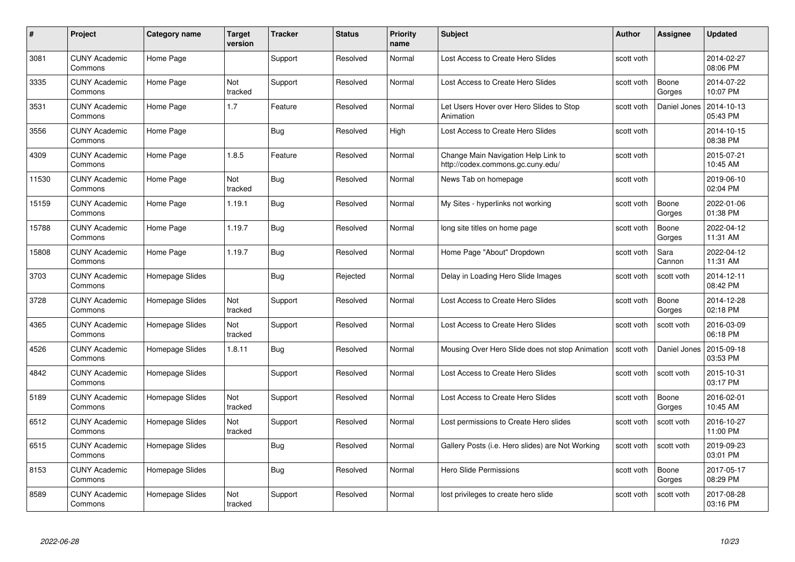| #     | Project                         | <b>Category name</b> | Target<br>version | <b>Tracker</b> | <b>Status</b> | <b>Priority</b><br>name | <b>Subject</b>                                                           | <b>Author</b> | <b>Assignee</b> | <b>Updated</b>         |
|-------|---------------------------------|----------------------|-------------------|----------------|---------------|-------------------------|--------------------------------------------------------------------------|---------------|-----------------|------------------------|
| 3081  | <b>CUNY Academic</b><br>Commons | Home Page            |                   | Support        | Resolved      | Normal                  | Lost Access to Create Hero Slides                                        | scott voth    |                 | 2014-02-27<br>08:06 PM |
| 3335  | <b>CUNY Academic</b><br>Commons | Home Page            | Not<br>tracked    | Support        | Resolved      | Normal                  | Lost Access to Create Hero Slides                                        | scott voth    | Boone<br>Gorges | 2014-07-22<br>10:07 PM |
| 3531  | <b>CUNY Academic</b><br>Commons | Home Page            | 1.7               | Feature        | Resolved      | Normal                  | Let Users Hover over Hero Slides to Stop<br>Animation                    | scott voth    | Daniel Jones    | 2014-10-13<br>05:43 PM |
| 3556  | <b>CUNY Academic</b><br>Commons | Home Page            |                   | <b>Bug</b>     | Resolved      | High                    | Lost Access to Create Hero Slides                                        | scott voth    |                 | 2014-10-15<br>08:38 PM |
| 4309  | CUNY Academic<br>Commons        | Home Page            | 1.8.5             | Feature        | Resolved      | Normal                  | Change Main Navigation Help Link to<br>http://codex.commons.gc.cuny.edu/ | scott voth    |                 | 2015-07-21<br>10:45 AM |
| 11530 | <b>CUNY Academic</b><br>Commons | Home Page            | Not<br>tracked    | Bug            | Resolved      | Normal                  | News Tab on homepage                                                     | scott voth    |                 | 2019-06-10<br>02:04 PM |
| 15159 | <b>CUNY Academic</b><br>Commons | Home Page            | 1.19.1            | Bug            | Resolved      | Normal                  | My Sites - hyperlinks not working                                        | scott voth    | Boone<br>Gorges | 2022-01-06<br>01:38 PM |
| 15788 | <b>CUNY Academic</b><br>Commons | Home Page            | 1.19.7            | <b>Bug</b>     | Resolved      | Normal                  | long site titles on home page                                            | scott voth    | Boone<br>Gorges | 2022-04-12<br>11:31 AM |
| 15808 | <b>CUNY Academic</b><br>Commons | Home Page            | 1.19.7            | Bug            | Resolved      | Normal                  | Home Page "About" Dropdown                                               | scott voth    | Sara<br>Cannon  | 2022-04-12<br>11:31 AM |
| 3703  | <b>CUNY Academic</b><br>Commons | Homepage Slides      |                   | Bug            | Rejected      | Normal                  | Delay in Loading Hero Slide Images                                       | scott voth    | scott voth      | 2014-12-11<br>08:42 PM |
| 3728  | CUNY Academic<br>Commons        | Homepage Slides      | Not<br>tracked    | Support        | Resolved      | Normal                  | Lost Access to Create Hero Slides                                        | scott voth    | Boone<br>Gorges | 2014-12-28<br>02:18 PM |
| 4365  | <b>CUNY Academic</b><br>Commons | Homepage Slides      | Not<br>tracked    | Support        | Resolved      | Normal                  | Lost Access to Create Hero Slides                                        | scott voth    | scott voth      | 2016-03-09<br>06:18 PM |
| 4526  | <b>CUNY Academic</b><br>Commons | Homepage Slides      | 1.8.11            | <b>Bug</b>     | Resolved      | Normal                  | Mousing Over Hero Slide does not stop Animation                          | scott voth    | Daniel Jones    | 2015-09-18<br>03:53 PM |
| 4842  | <b>CUNY Academic</b><br>Commons | Homepage Slides      |                   | Support        | Resolved      | Normal                  | Lost Access to Create Hero Slides                                        | scott voth    | scott voth      | 2015-10-31<br>03:17 PM |
| 5189  | <b>CUNY Academic</b><br>Commons | Homepage Slides      | Not<br>tracked    | Support        | Resolved      | Normal                  | Lost Access to Create Hero Slides                                        | scott voth    | Boone<br>Gorges | 2016-02-01<br>10:45 AM |
| 6512  | <b>CUNY Academic</b><br>Commons | Homepage Slides      | Not<br>tracked    | Support        | Resolved      | Normal                  | Lost permissions to Create Hero slides                                   | scott voth    | scott voth      | 2016-10-27<br>11:00 PM |
| 6515  | <b>CUNY Academic</b><br>Commons | Homepage Slides      |                   | Bug            | Resolved      | Normal                  | Gallery Posts (i.e. Hero slides) are Not Working                         | scott voth    | scott voth      | 2019-09-23<br>03:01 PM |
| 8153  | <b>CUNY Academic</b><br>Commons | Homepage Slides      |                   | <b>Bug</b>     | Resolved      | Normal                  | <b>Hero Slide Permissions</b>                                            | scott voth    | Boone<br>Gorges | 2017-05-17<br>08:29 PM |
| 8589  | CUNY Academic<br>Commons        | Homepage Slides      | Not<br>tracked    | Support        | Resolved      | Normal                  | lost privileges to create hero slide                                     | scott voth    | scott voth      | 2017-08-28<br>03:16 PM |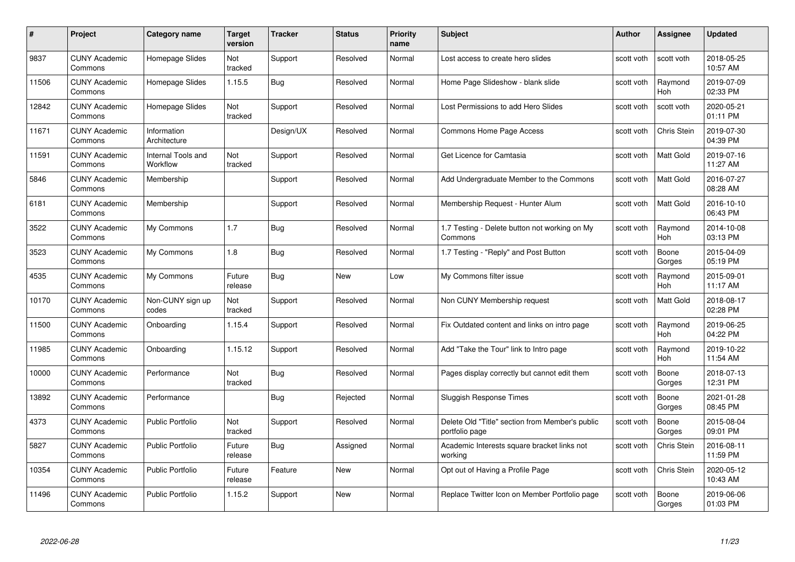| #     | Project                         | Category name                  | Target<br>version | <b>Tracker</b> | <b>Status</b> | <b>Priority</b><br>name | <b>Subject</b>                                                    | Author     | Assignee              | <b>Updated</b>         |
|-------|---------------------------------|--------------------------------|-------------------|----------------|---------------|-------------------------|-------------------------------------------------------------------|------------|-----------------------|------------------------|
| 9837  | <b>CUNY Academic</b><br>Commons | Homepage Slides                | Not<br>tracked    | Support        | Resolved      | Normal                  | Lost access to create hero slides                                 | scott voth | scott voth            | 2018-05-25<br>10:57 AM |
| 11506 | <b>CUNY Academic</b><br>Commons | Homepage Slides                | 1.15.5            | Bug            | Resolved      | Normal                  | Home Page Slideshow - blank slide                                 | scott voth | Raymond<br><b>Hoh</b> | 2019-07-09<br>02:33 PM |
| 12842 | <b>CUNY Academic</b><br>Commons | Homepage Slides                | Not<br>tracked    | Support        | Resolved      | Normal                  | Lost Permissions to add Hero Slides                               | scott voth | scott voth            | 2020-05-21<br>01:11 PM |
| 11671 | <b>CUNY Academic</b><br>Commons | Information<br>Architecture    |                   | Design/UX      | Resolved      | Normal                  | <b>Commons Home Page Access</b>                                   | scott voth | Chris Stein           | 2019-07-30<br>04:39 PM |
| 11591 | <b>CUNY Academic</b><br>Commons | Internal Tools and<br>Workflow | Not<br>tracked    | Support        | Resolved      | Normal                  | Get Licence for Camtasia                                          | scott voth | Matt Gold             | 2019-07-16<br>11:27 AM |
| 5846  | <b>CUNY Academic</b><br>Commons | Membership                     |                   | Support        | Resolved      | Normal                  | Add Undergraduate Member to the Commons                           | scott voth | Matt Gold             | 2016-07-27<br>08:28 AM |
| 6181  | <b>CUNY Academic</b><br>Commons | Membership                     |                   | Support        | Resolved      | Normal                  | Membership Request - Hunter Alum                                  | scott voth | Matt Gold             | 2016-10-10<br>06:43 PM |
| 3522  | <b>CUNY Academic</b><br>Commons | My Commons                     | 1.7               | Bug            | Resolved      | Normal                  | 1.7 Testing - Delete button not working on My<br>Commons          | scott voth | Raymond<br><b>Hoh</b> | 2014-10-08<br>03:13 PM |
| 3523  | <b>CUNY Academic</b><br>Commons | My Commons                     | 1.8               | Bug            | Resolved      | Normal                  | 1.7 Testing - "Reply" and Post Button                             | scott voth | Boone<br>Gorges       | 2015-04-09<br>05:19 PM |
| 4535  | <b>CUNY Academic</b><br>Commons | My Commons                     | Future<br>release | Bug            | New           | Low                     | My Commons filter issue                                           | scott voth | Raymond<br><b>Hoh</b> | 2015-09-01<br>11:17 AM |
| 10170 | <b>CUNY Academic</b><br>Commons | Non-CUNY sign up<br>codes      | Not<br>tracked    | Support        | Resolved      | Normal                  | Non CUNY Membership request                                       | scott voth | Matt Gold             | 2018-08-17<br>02:28 PM |
| 11500 | <b>CUNY Academic</b><br>Commons | Onboarding                     | 1.15.4            | Support        | Resolved      | Normal                  | Fix Outdated content and links on intro page                      | scott voth | Raymond<br><b>Hoh</b> | 2019-06-25<br>04:22 PM |
| 11985 | <b>CUNY Academic</b><br>Commons | Onboarding                     | 1.15.12           | Support        | Resolved      | Normal                  | Add "Take the Tour" link to Intro page                            | scott voth | Raymond<br>Hoh        | 2019-10-22<br>11:54 AM |
| 10000 | <b>CUNY Academic</b><br>Commons | Performance                    | Not<br>tracked    | Bug            | Resolved      | Normal                  | Pages display correctly but cannot edit them                      | scott voth | Boone<br>Gorges       | 2018-07-13<br>12:31 PM |
| 13892 | <b>CUNY Academic</b><br>Commons | Performance                    |                   | Bug            | Rejected      | Normal                  | <b>Sluggish Response Times</b>                                    | scott voth | Boone<br>Gorges       | 2021-01-28<br>08:45 PM |
| 4373  | <b>CUNY Academic</b><br>Commons | <b>Public Portfolio</b>        | Not<br>tracked    | Support        | Resolved      | Normal                  | Delete Old "Title" section from Member's public<br>portfolio page | scott voth | Boone<br>Gorges       | 2015-08-04<br>09:01 PM |
| 5827  | <b>CUNY Academic</b><br>Commons | <b>Public Portfolio</b>        | Future<br>release | Bug            | Assigned      | Normal                  | Academic Interests square bracket links not<br>working            | scott voth | Chris Stein           | 2016-08-11<br>11:59 PM |
| 10354 | <b>CUNY Academic</b><br>Commons | <b>Public Portfolio</b>        | Future<br>release | Feature        | <b>New</b>    | Normal                  | Opt out of Having a Profile Page                                  | scott voth | Chris Stein           | 2020-05-12<br>10:43 AM |
| 11496 | <b>CUNY Academic</b><br>Commons | <b>Public Portfolio</b>        | 1.15.2            | Support        | <b>New</b>    | Normal                  | Replace Twitter Icon on Member Portfolio page                     | scott voth | Boone<br>Gorges       | 2019-06-06<br>01:03 PM |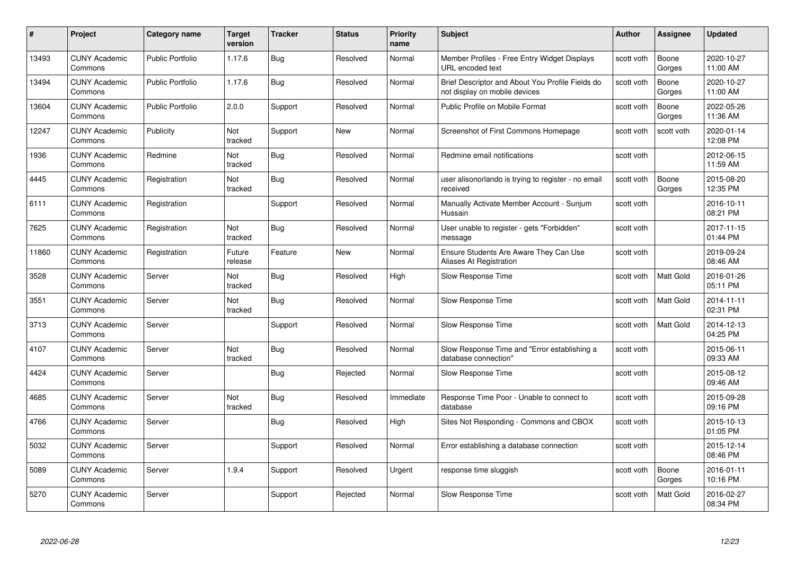| #     | Project                         | <b>Category name</b>    | <b>Target</b><br>version | <b>Tracker</b> | <b>Status</b> | <b>Priority</b><br>name | <b>Subject</b>                                                                    | Author     | Assignee         | <b>Updated</b>         |
|-------|---------------------------------|-------------------------|--------------------------|----------------|---------------|-------------------------|-----------------------------------------------------------------------------------|------------|------------------|------------------------|
| 13493 | <b>CUNY Academic</b><br>Commons | <b>Public Portfolio</b> | 1.17.6                   | Bug            | Resolved      | Normal                  | Member Profiles - Free Entry Widget Displays<br>URL encoded text                  | scott voth | Boone<br>Gorges  | 2020-10-27<br>11:00 AM |
| 13494 | <b>CUNY Academic</b><br>Commons | <b>Public Portfolio</b> | 1.17.6                   | Bug            | Resolved      | Normal                  | Brief Descriptor and About You Profile Fields do<br>not display on mobile devices | scott voth | Boone<br>Gorges  | 2020-10-27<br>11:00 AM |
| 13604 | <b>CUNY Academic</b><br>Commons | <b>Public Portfolio</b> | 2.0.0                    | Support        | Resolved      | Normal                  | Public Profile on Mobile Format                                                   | scott voth | Boone<br>Gorges  | 2022-05-26<br>11:36 AM |
| 12247 | <b>CUNY Academic</b><br>Commons | Publicity               | Not<br>tracked           | Support        | <b>New</b>    | Normal                  | Screenshot of First Commons Homepage                                              | scott voth | scott voth       | 2020-01-14<br>12:08 PM |
| 1936  | <b>CUNY Academic</b><br>Commons | Redmine                 | Not<br>tracked           | Bug            | Resolved      | Normal                  | Redmine email notifications                                                       | scott voth |                  | 2012-06-15<br>11:59 AM |
| 4445  | <b>CUNY Academic</b><br>Commons | Registration            | Not<br>tracked           | Bug            | Resolved      | Normal                  | user alisonorlando is trying to register - no email<br>received                   | scott voth | Boone<br>Gorges  | 2015-08-20<br>12:35 PM |
| 6111  | <b>CUNY Academic</b><br>Commons | Registration            |                          | Support        | Resolved      | Normal                  | Manually Activate Member Account - Sunjum<br>Hussain                              | scott voth |                  | 2016-10-11<br>08:21 PM |
| 7625  | <b>CUNY Academic</b><br>Commons | Registration            | Not<br>tracked           | Bug            | Resolved      | Normal                  | User unable to register - gets "Forbidden"<br>message                             | scott voth |                  | 2017-11-15<br>01:44 PM |
| 11860 | <b>CUNY Academic</b><br>Commons | Registration            | Future<br>release        | Feature        | New           | Normal                  | Ensure Students Are Aware They Can Use<br>Aliases At Registration                 | scott voth |                  | 2019-09-24<br>08:46 AM |
| 3528  | <b>CUNY Academic</b><br>Commons | Server                  | Not<br>tracked           | Bug            | Resolved      | High                    | Slow Response Time                                                                | scott voth | <b>Matt Gold</b> | 2016-01-26<br>05:11 PM |
| 3551  | <b>CUNY Academic</b><br>Commons | Server                  | Not<br>tracked           | Bug            | Resolved      | Normal                  | Slow Response Time                                                                | scott voth | Matt Gold        | 2014-11-11<br>02:31 PM |
| 3713  | <b>CUNY Academic</b><br>Commons | Server                  |                          | Support        | Resolved      | Normal                  | Slow Response Time                                                                | scott voth | <b>Matt Gold</b> | 2014-12-13<br>04:25 PM |
| 4107  | <b>CUNY Academic</b><br>Commons | Server                  | Not<br>tracked           | Bug            | Resolved      | Normal                  | Slow Response Time and "Error establishing a<br>database connection"              | scott voth |                  | 2015-06-11<br>09:33 AM |
| 4424  | <b>CUNY Academic</b><br>Commons | Server                  |                          | Bug            | Rejected      | Normal                  | Slow Response Time                                                                | scott voth |                  | 2015-08-12<br>09:46 AM |
| 4685  | <b>CUNY Academic</b><br>Commons | Server                  | Not<br>tracked           | Bug            | Resolved      | Immediate               | Response Time Poor - Unable to connect to<br>database                             | scott voth |                  | 2015-09-28<br>09:16 PM |
| 4766  | <b>CUNY Academic</b><br>Commons | Server                  |                          | Bug            | Resolved      | High                    | Sites Not Responding - Commons and CBOX                                           | scott voth |                  | 2015-10-13<br>01:05 PM |
| 5032  | <b>CUNY Academic</b><br>Commons | Server                  |                          | Support        | Resolved      | Normal                  | Error establishing a database connection                                          | scott voth |                  | 2015-12-14<br>08:46 PM |
| 5089  | <b>CUNY Academic</b><br>Commons | Server                  | 1.9.4                    | Support        | Resolved      | Urgent                  | response time sluggish                                                            | scott voth | Boone<br>Gorges  | 2016-01-11<br>10:16 PM |
| 5270  | <b>CUNY Academic</b><br>Commons | Server                  |                          | Support        | Rejected      | Normal                  | Slow Response Time                                                                | scott voth | Matt Gold        | 2016-02-27<br>08:34 PM |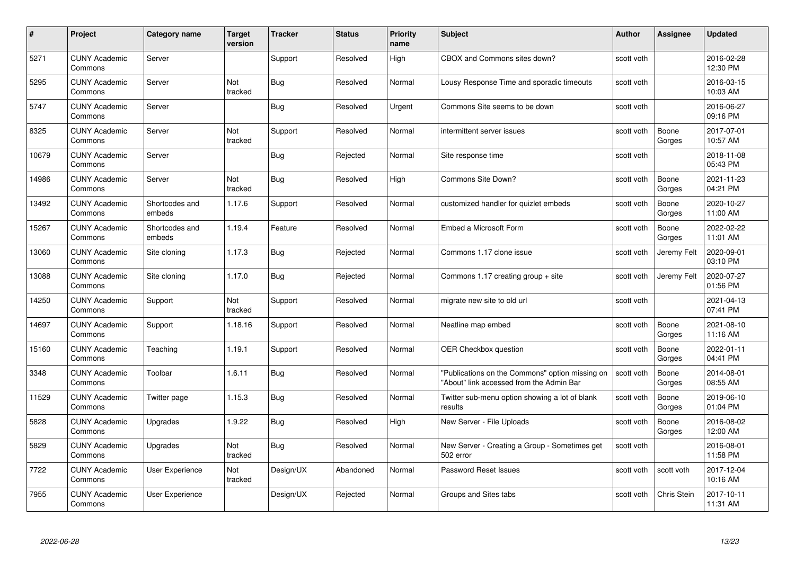| #     | Project                         | <b>Category name</b>     | <b>Target</b><br>version | <b>Tracker</b> | <b>Status</b> | <b>Priority</b><br>name | <b>Subject</b>                                                                              | <b>Author</b> | <b>Assignee</b>    | <b>Updated</b>         |
|-------|---------------------------------|--------------------------|--------------------------|----------------|---------------|-------------------------|---------------------------------------------------------------------------------------------|---------------|--------------------|------------------------|
| 5271  | <b>CUNY Academic</b><br>Commons | Server                   |                          | Support        | Resolved      | High                    | CBOX and Commons sites down?                                                                | scott voth    |                    | 2016-02-28<br>12:30 PM |
| 5295  | <b>CUNY Academic</b><br>Commons | Server                   | Not<br>tracked           | Bug            | Resolved      | Normal                  | Lousy Response Time and sporadic timeouts                                                   | scott voth    |                    | 2016-03-15<br>10:03 AM |
| 5747  | <b>CUNY Academic</b><br>Commons | Server                   |                          | <b>Bug</b>     | Resolved      | Urgent                  | Commons Site seems to be down                                                               | scott voth    |                    | 2016-06-27<br>09:16 PM |
| 8325  | <b>CUNY Academic</b><br>Commons | Server                   | Not<br>tracked           | Support        | Resolved      | Normal                  | intermittent server issues                                                                  | scott voth    | Boone<br>Gorges    | 2017-07-01<br>10:57 AM |
| 10679 | <b>CUNY Academic</b><br>Commons | Server                   |                          | Bug            | Rejected      | Normal                  | Site response time                                                                          | scott voth    |                    | 2018-11-08<br>05:43 PM |
| 14986 | <b>CUNY Academic</b><br>Commons | Server                   | <b>Not</b><br>tracked    | <b>Bug</b>     | Resolved      | High                    | Commons Site Down?                                                                          | scott voth    | Boone<br>Gorges    | 2021-11-23<br>04:21 PM |
| 13492 | <b>CUNY Academic</b><br>Commons | Shortcodes and<br>embeds | 1.17.6                   | Support        | Resolved      | Normal                  | customized handler for quizlet embeds                                                       | scott voth    | Boone<br>Gorges    | 2020-10-27<br>11:00 AM |
| 15267 | <b>CUNY Academic</b><br>Commons | Shortcodes and<br>embeds | 1.19.4                   | Feature        | Resolved      | Normal                  | Embed a Microsoft Form                                                                      | scott voth    | Boone<br>Gorges    | 2022-02-22<br>11:01 AM |
| 13060 | <b>CUNY Academic</b><br>Commons | Site cloning             | 1.17.3                   | <b>Bug</b>     | Rejected      | Normal                  | Commons 1.17 clone issue                                                                    | scott voth    | Jeremy Felt        | 2020-09-01<br>03:10 PM |
| 13088 | <b>CUNY Academic</b><br>Commons | Site cloning             | 1.17.0                   | <b>Bug</b>     | Rejected      | Normal                  | Commons 1.17 creating group $+$ site                                                        | scott voth    | Jeremy Felt        | 2020-07-27<br>01:56 PM |
| 14250 | <b>CUNY Academic</b><br>Commons | Support                  | Not<br>tracked           | Support        | Resolved      | Normal                  | migrate new site to old url                                                                 | scott voth    |                    | 2021-04-13<br>07:41 PM |
| 14697 | <b>CUNY Academic</b><br>Commons | Support                  | 1.18.16                  | Support        | Resolved      | Normal                  | Neatline map embed                                                                          | scott voth    | Boone<br>Gorges    | 2021-08-10<br>11:16 AM |
| 15160 | <b>CUNY Academic</b><br>Commons | Teaching                 | 1.19.1                   | Support        | Resolved      | Normal                  | OER Checkbox question                                                                       | scott voth    | Boone<br>Gorges    | 2022-01-11<br>04:41 PM |
| 3348  | <b>CUNY Academic</b><br>Commons | Toolbar                  | 1.6.11                   | <b>Bug</b>     | Resolved      | Normal                  | "Publications on the Commons" option missing on<br>"About" link accessed from the Admin Bar | scott voth    | Boone<br>Gorges    | 2014-08-01<br>08:55 AM |
| 11529 | <b>CUNY Academic</b><br>Commons | Twitter page             | 1.15.3                   | <b>Bug</b>     | Resolved      | Normal                  | Twitter sub-menu option showing a lot of blank<br>results                                   | scott voth    | Boone<br>Gorges    | 2019-06-10<br>01:04 PM |
| 5828  | <b>CUNY Academic</b><br>Commons | Upgrades                 | 1.9.22                   | <b>Bug</b>     | Resolved      | High                    | New Server - File Uploads                                                                   | scott voth    | Boone<br>Gorges    | 2016-08-02<br>12:00 AM |
| 5829  | <b>CUNY Academic</b><br>Commons | Upgrades                 | Not<br>tracked           | Bug            | Resolved      | Normal                  | New Server - Creating a Group - Sometimes get<br>502 error                                  | scott voth    |                    | 2016-08-01<br>11:58 PM |
| 7722  | <b>CUNY Academic</b><br>Commons | User Experience          | Not<br>tracked           | Design/UX      | Abandoned     | Normal                  | Password Reset Issues                                                                       | scott voth    | scott voth         | 2017-12-04<br>10:16 AM |
| 7955  | <b>CUNY Academic</b><br>Commons | User Experience          |                          | Design/UX      | Rejected      | Normal                  | Groups and Sites tabs                                                                       | scott voth    | <b>Chris Stein</b> | 2017-10-11<br>11:31 AM |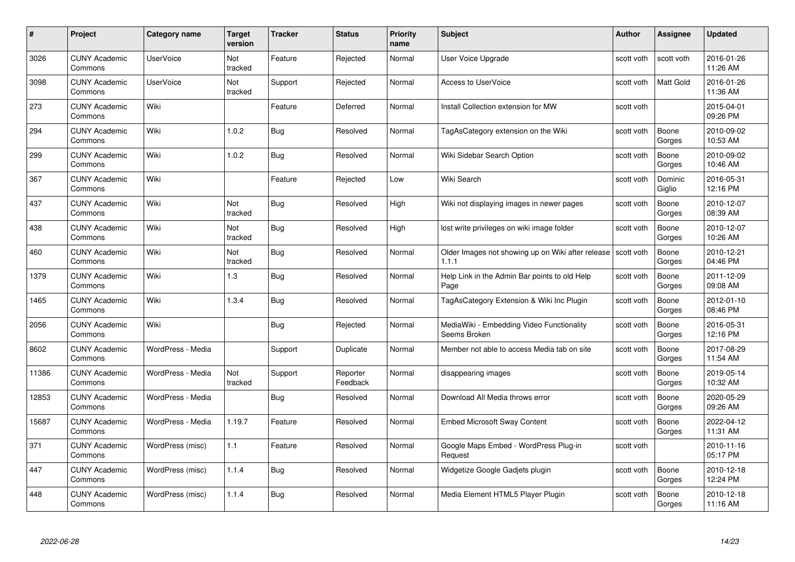| #     | Project                         | <b>Category name</b> | Target<br>version     | <b>Tracker</b> | <b>Status</b>        | <b>Priority</b><br>name | <b>Subject</b>                                                        | <b>Author</b> | <b>Assignee</b>   | <b>Updated</b>         |
|-------|---------------------------------|----------------------|-----------------------|----------------|----------------------|-------------------------|-----------------------------------------------------------------------|---------------|-------------------|------------------------|
| 3026  | <b>CUNY Academic</b><br>Commons | <b>UserVoice</b>     | <b>Not</b><br>tracked | Feature        | Rejected             | Normal                  | User Voice Upgrade                                                    | scott voth    | scott voth        | 2016-01-26<br>11:26 AM |
| 3098  | <b>CUNY Academic</b><br>Commons | <b>UserVoice</b>     | Not<br>tracked        | Support        | Rejected             | Normal                  | <b>Access to UserVoice</b>                                            | scott voth    | <b>Matt Gold</b>  | 2016-01-26<br>11:36 AM |
| 273   | <b>CUNY Academic</b><br>Commons | Wiki                 |                       | Feature        | Deferred             | Normal                  | Install Collection extension for MW                                   | scott voth    |                   | 2015-04-01<br>09:26 PM |
| 294   | <b>CUNY Academic</b><br>Commons | Wiki                 | 1.0.2                 | Bug            | Resolved             | Normal                  | TagAsCategory extension on the Wiki                                   | scott voth    | Boone<br>Gorges   | 2010-09-02<br>10:53 AM |
| 299   | <b>CUNY Academic</b><br>Commons | Wiki                 | 1.0.2                 | Bug            | Resolved             | Normal                  | Wiki Sidebar Search Option                                            | scott voth    | Boone<br>Gorges   | 2010-09-02<br>10:46 AM |
| 367   | <b>CUNY Academic</b><br>Commons | Wiki                 |                       | Feature        | Rejected             | Low                     | Wiki Search                                                           | scott voth    | Dominic<br>Giglio | 2016-05-31<br>12:16 PM |
| 437   | <b>CUNY Academic</b><br>Commons | Wiki                 | Not<br>tracked        | Bug            | Resolved             | High                    | Wiki not displaying images in newer pages                             | scott voth    | Boone<br>Gorges   | 2010-12-07<br>08:39 AM |
| 438   | <b>CUNY Academic</b><br>Commons | Wiki                 | Not<br>tracked        | <b>Bug</b>     | Resolved             | High                    | lost write privileges on wiki image folder                            | scott voth    | Boone<br>Gorges   | 2010-12-07<br>10:26 AM |
| 460   | <b>CUNY Academic</b><br>Commons | Wiki                 | Not<br>tracked        | Bug            | Resolved             | Normal                  | Older Images not showing up on Wiki after release Scott voth<br>1.1.1 |               | Boone<br>Gorges   | 2010-12-21<br>04:46 PM |
| 1379  | <b>CUNY Academic</b><br>Commons | Wiki                 | 1.3                   | Bug            | Resolved             | Normal                  | Help Link in the Admin Bar points to old Help<br>Page                 | scott voth    | Boone<br>Gorges   | 2011-12-09<br>09:08 AM |
| 1465  | CUNY Academic<br>Commons        | Wiki                 | 1.3.4                 | Bug            | Resolved             | Normal                  | TagAsCategory Extension & Wiki Inc Plugin                             | scott voth    | Boone<br>Gorges   | 2012-01-10<br>08:46 PM |
| 2056  | <b>CUNY Academic</b><br>Commons | Wiki                 |                       | Bug            | Rejected             | Normal                  | MediaWiki - Embedding Video Functionality<br>Seems Broken             | scott voth    | Boone<br>Gorges   | 2016-05-31<br>12:16 PM |
| 8602  | <b>CUNY Academic</b><br>Commons | WordPress - Media    |                       | Support        | Duplicate            | Normal                  | Member not able to access Media tab on site                           | scott voth    | Boone<br>Gorges   | 2017-08-29<br>11:54 AM |
| 11386 | <b>CUNY Academic</b><br>Commons | WordPress - Media    | Not<br>tracked        | Support        | Reporter<br>Feedback | Normal                  | disappearing images                                                   | scott voth    | Boone<br>Gorges   | 2019-05-14<br>10:32 AM |
| 12853 | <b>CUNY Academic</b><br>Commons | WordPress - Media    |                       | Bug            | Resolved             | Normal                  | Download All Media throws error                                       | scott voth    | Boone<br>Gorges   | 2020-05-29<br>09:26 AM |
| 15687 | <b>CUNY Academic</b><br>Commons | WordPress - Media    | 1.19.7                | Feature        | Resolved             | Normal                  | <b>Embed Microsoft Sway Content</b>                                   | scott voth    | Boone<br>Gorges   | 2022-04-12<br>11:31 AM |
| 371   | <b>CUNY Academic</b><br>Commons | WordPress (misc)     | 1.1                   | Feature        | Resolved             | Normal                  | Google Maps Embed - WordPress Plug-in<br>Request                      | scott voth    |                   | 2010-11-16<br>05:17 PM |
| 447   | <b>CUNY Academic</b><br>Commons | WordPress (misc)     | 1.1.4                 | <b>Bug</b>     | Resolved             | Normal                  | Widgetize Google Gadjets plugin                                       | scott voth    | Boone<br>Gorges   | 2010-12-18<br>12:24 PM |
| 448   | CUNY Academic<br>Commons        | WordPress (misc)     | 1.1.4                 | Bug            | Resolved             | Normal                  | Media Element HTML5 Player Plugin                                     | scott voth    | Boone<br>Gorges   | 2010-12-18<br>11:16 AM |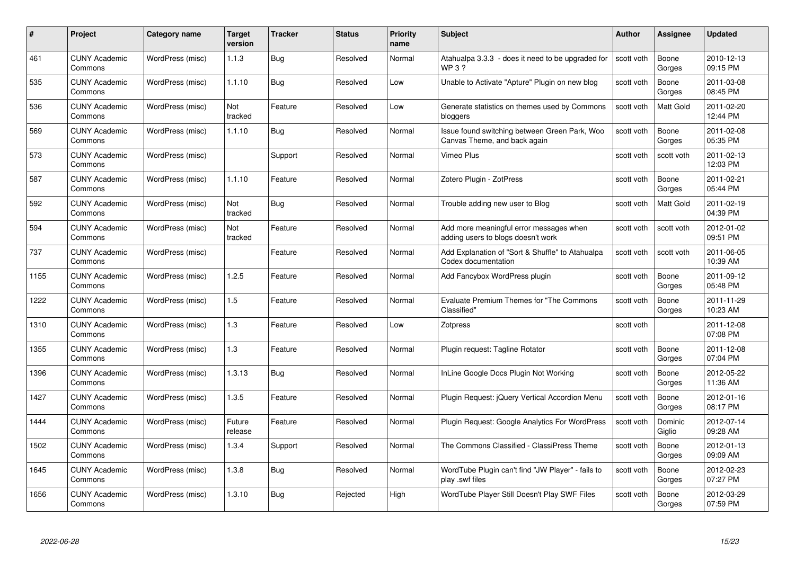| #    | Project                         | Category name    | <b>Target</b><br>version | <b>Tracker</b> | <b>Status</b> | <b>Priority</b><br>name | <b>Subject</b>                                                                | <b>Author</b> | Assignee          | <b>Updated</b>         |
|------|---------------------------------|------------------|--------------------------|----------------|---------------|-------------------------|-------------------------------------------------------------------------------|---------------|-------------------|------------------------|
| 461  | <b>CUNY Academic</b><br>Commons | WordPress (misc) | 1.1.3                    | <b>Bug</b>     | Resolved      | Normal                  | Atahualpa 3.3.3 - does it need to be upgraded for<br><b>WP3?</b>              | scott voth    | Boone<br>Gorges   | 2010-12-13<br>09:15 PM |
| 535  | <b>CUNY Academic</b><br>Commons | WordPress (misc) | 1.1.10                   | <b>Bug</b>     | Resolved      | Low                     | Unable to Activate "Apture" Plugin on new blog                                | scott voth    | Boone<br>Gorges   | 2011-03-08<br>08:45 PM |
| 536  | <b>CUNY Academic</b><br>Commons | WordPress (misc) | Not<br>tracked           | Feature        | Resolved      | Low                     | Generate statistics on themes used by Commons<br>bloggers                     | scott voth    | Matt Gold         | 2011-02-20<br>12:44 PM |
| 569  | <b>CUNY Academic</b><br>Commons | WordPress (misc) | 1.1.10                   | <b>Bug</b>     | Resolved      | Normal                  | Issue found switching between Green Park, Woo<br>Canvas Theme, and back again | scott voth    | Boone<br>Gorges   | 2011-02-08<br>05:35 PM |
| 573  | <b>CUNY Academic</b><br>Commons | WordPress (misc) |                          | Support        | Resolved      | Normal                  | Vimeo Plus                                                                    | scott voth    | scott voth        | 2011-02-13<br>12:03 PM |
| 587  | <b>CUNY Academic</b><br>Commons | WordPress (misc) | 1.1.10                   | Feature        | Resolved      | Normal                  | Zotero Plugin - ZotPress                                                      | scott voth    | Boone<br>Gorges   | 2011-02-21<br>05:44 PM |
| 592  | <b>CUNY Academic</b><br>Commons | WordPress (misc) | Not<br>tracked           | <b>Bug</b>     | Resolved      | Normal                  | Trouble adding new user to Blog                                               | scott voth    | Matt Gold         | 2011-02-19<br>04:39 PM |
| 594  | <b>CUNY Academic</b><br>Commons | WordPress (misc) | Not<br>tracked           | Feature        | Resolved      | Normal                  | Add more meaningful error messages when<br>adding users to blogs doesn't work | scott voth    | scott voth        | 2012-01-02<br>09:51 PM |
| 737  | <b>CUNY Academic</b><br>Commons | WordPress (misc) |                          | Feature        | Resolved      | Normal                  | Add Explanation of "Sort & Shuffle" to Atahualpa<br>Codex documentation       | scott voth    | scott voth        | 2011-06-05<br>10:39 AM |
| 1155 | <b>CUNY Academic</b><br>Commons | WordPress (misc) | 1.2.5                    | Feature        | Resolved      | Normal                  | Add Fancybox WordPress plugin                                                 | scott voth    | Boone<br>Gorges   | 2011-09-12<br>05:48 PM |
| 1222 | <b>CUNY Academic</b><br>Commons | WordPress (misc) | 1.5                      | Feature        | Resolved      | Normal                  | <b>Evaluate Premium Themes for "The Commons</b><br>Classified"                | scott voth    | Boone<br>Gorges   | 2011-11-29<br>10:23 AM |
| 1310 | <b>CUNY Academic</b><br>Commons | WordPress (misc) | $1.3$                    | Feature        | Resolved      | Low                     | Zotpress                                                                      | scott voth    |                   | 2011-12-08<br>07:08 PM |
| 1355 | <b>CUNY Academic</b><br>Commons | WordPress (misc) | $1.3$                    | Feature        | Resolved      | Normal                  | Plugin request: Tagline Rotator                                               | scott voth    | Boone<br>Gorges   | 2011-12-08<br>07:04 PM |
| 1396 | <b>CUNY Academic</b><br>Commons | WordPress (misc) | 1.3.13                   | <b>Bug</b>     | Resolved      | Normal                  | InLine Google Docs Plugin Not Working                                         | scott voth    | Boone<br>Gorges   | 2012-05-22<br>11:36 AM |
| 1427 | <b>CUNY Academic</b><br>Commons | WordPress (misc) | 1.3.5                    | Feature        | Resolved      | Normal                  | Plugin Request: jQuery Vertical Accordion Menu                                | scott voth    | Boone<br>Gorges   | 2012-01-16<br>08:17 PM |
| 1444 | <b>CUNY Academic</b><br>Commons | WordPress (misc) | Future<br>release        | Feature        | Resolved      | Normal                  | Plugin Request: Google Analytics For WordPress                                | scott voth    | Dominic<br>Giglio | 2012-07-14<br>09:28 AM |
| 1502 | <b>CUNY Academic</b><br>Commons | WordPress (misc) | 1.3.4                    | Support        | Resolved      | Normal                  | The Commons Classified - ClassiPress Theme                                    | scott voth    | Boone<br>Gorges   | 2012-01-13<br>09:09 AM |
| 1645 | <b>CUNY Academic</b><br>Commons | WordPress (misc) | 1.3.8                    | <b>Bug</b>     | Resolved      | Normal                  | WordTube Plugin can't find "JW Player" - fails to<br>play .swf files          | scott voth    | Boone<br>Gorges   | 2012-02-23<br>07:27 PM |
| 1656 | <b>CUNY Academic</b><br>Commons | WordPress (misc) | 1.3.10                   | <b>Bug</b>     | Rejected      | High                    | WordTube Player Still Doesn't Play SWF Files                                  | scott voth    | Boone<br>Gorges   | 2012-03-29<br>07:59 PM |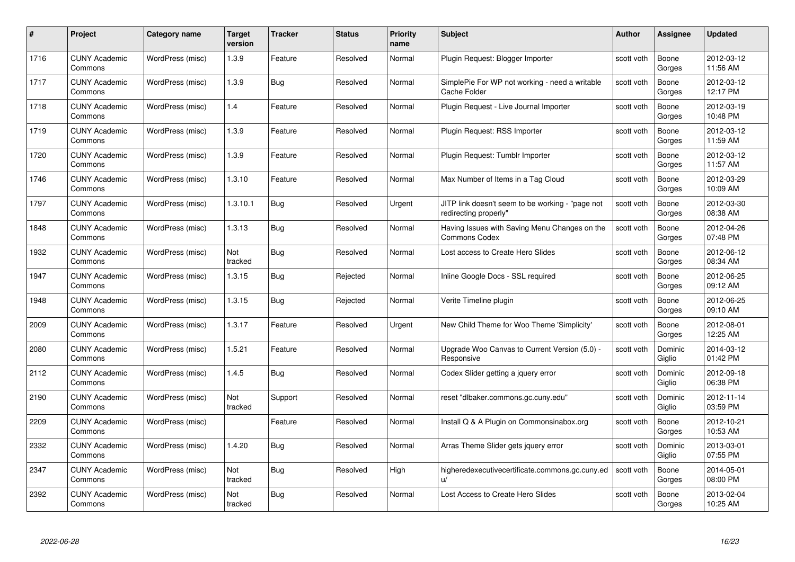| #    | Project                         | Category name    | Target<br>version | <b>Tracker</b> | <b>Status</b> | <b>Priority</b><br>name | <b>Subject</b>                                                            | Author     | <b>Assignee</b>   | <b>Updated</b>         |
|------|---------------------------------|------------------|-------------------|----------------|---------------|-------------------------|---------------------------------------------------------------------------|------------|-------------------|------------------------|
| 1716 | <b>CUNY Academic</b><br>Commons | WordPress (misc) | 1.3.9             | Feature        | Resolved      | Normal                  | Plugin Request: Blogger Importer                                          | scott voth | Boone<br>Gorges   | 2012-03-12<br>11:56 AM |
| 1717 | <b>CUNY Academic</b><br>Commons | WordPress (misc) | 1.3.9             | Bug            | Resolved      | Normal                  | SimplePie For WP not working - need a writable<br>Cache Folder            | scott voth | Boone<br>Gorges   | 2012-03-12<br>12:17 PM |
| 1718 | <b>CUNY Academic</b><br>Commons | WordPress (misc) | 1.4               | Feature        | Resolved      | Normal                  | Plugin Request - Live Journal Importer                                    | scott voth | Boone<br>Gorges   | 2012-03-19<br>10:48 PM |
| 1719 | <b>CUNY Academic</b><br>Commons | WordPress (misc) | 1.3.9             | Feature        | Resolved      | Normal                  | Plugin Request: RSS Importer                                              | scott voth | Boone<br>Gorges   | 2012-03-12<br>11:59 AM |
| 1720 | <b>CUNY Academic</b><br>Commons | WordPress (misc) | 1.3.9             | Feature        | Resolved      | Normal                  | Plugin Request: Tumblr Importer                                           | scott voth | Boone<br>Gorges   | 2012-03-12<br>11:57 AM |
| 1746 | <b>CUNY Academic</b><br>Commons | WordPress (misc) | 1.3.10            | Feature        | Resolved      | Normal                  | Max Number of Items in a Tag Cloud                                        | scott voth | Boone<br>Gorges   | 2012-03-29<br>10:09 AM |
| 1797 | <b>CUNY Academic</b><br>Commons | WordPress (misc) | 1.3.10.1          | <b>Bug</b>     | Resolved      | Urgent                  | JITP link doesn't seem to be working - "page not<br>redirecting properly" | scott voth | Boone<br>Gorges   | 2012-03-30<br>08:38 AM |
| 1848 | <b>CUNY Academic</b><br>Commons | WordPress (misc) | 1.3.13            | Bug            | Resolved      | Normal                  | Having Issues with Saving Menu Changes on the<br><b>Commons Codex</b>     | scott voth | Boone<br>Gorges   | 2012-04-26<br>07:48 PM |
| 1932 | <b>CUNY Academic</b><br>Commons | WordPress (misc) | Not<br>tracked    | <b>Bug</b>     | Resolved      | Normal                  | Lost access to Create Hero Slides                                         | scott voth | Boone<br>Gorges   | 2012-06-12<br>08:34 AM |
| 1947 | <b>CUNY Academic</b><br>Commons | WordPress (misc) | 1.3.15            | <b>Bug</b>     | Rejected      | Normal                  | Inline Google Docs - SSL required                                         | scott voth | Boone<br>Gorges   | 2012-06-25<br>09:12 AM |
| 1948 | <b>CUNY Academic</b><br>Commons | WordPress (misc) | 1.3.15            | <b>Bug</b>     | Rejected      | Normal                  | Verite Timeline plugin                                                    | scott voth | Boone<br>Gorges   | 2012-06-25<br>09:10 AM |
| 2009 | <b>CUNY Academic</b><br>Commons | WordPress (misc) | 1.3.17            | Feature        | Resolved      | Urgent                  | New Child Theme for Woo Theme 'Simplicity'                                | scott voth | Boone<br>Gorges   | 2012-08-01<br>12:25 AM |
| 2080 | <b>CUNY Academic</b><br>Commons | WordPress (misc) | 1.5.21            | Feature        | Resolved      | Normal                  | Upgrade Woo Canvas to Current Version (5.0) -<br>Responsive               | scott voth | Dominic<br>Giglio | 2014-03-12<br>01:42 PM |
| 2112 | <b>CUNY Academic</b><br>Commons | WordPress (misc) | 1.4.5             | Bug            | Resolved      | Normal                  | Codex Slider getting a jquery error                                       | scott voth | Dominic<br>Giglio | 2012-09-18<br>06:38 PM |
| 2190 | <b>CUNY Academic</b><br>Commons | WordPress (misc) | Not<br>tracked    | Support        | Resolved      | Normal                  | reset "dlbaker.commons.gc.cuny.edu"                                       | scott voth | Dominic<br>Giglio | 2012-11-14<br>03:59 PM |
| 2209 | <b>CUNY Academic</b><br>Commons | WordPress (misc) |                   | Feature        | Resolved      | Normal                  | Install Q & A Plugin on Commonsinabox.org                                 | scott voth | Boone<br>Gorges   | 2012-10-21<br>10:53 AM |
| 2332 | <b>CUNY Academic</b><br>Commons | WordPress (misc) | 1.4.20            | Bug            | Resolved      | Normal                  | Arras Theme Slider gets jquery error                                      | scott voth | Dominic<br>Giglio | 2013-03-01<br>07:55 PM |
| 2347 | <b>CUNY Academic</b><br>Commons | WordPress (misc) | Not<br>tracked    | <b>Bug</b>     | Resolved      | High                    | higheredexecutivecertificate.commons.gc.cuny.ed<br>u/                     | scott voth | Boone<br>Gorges   | 2014-05-01<br>08:00 PM |
| 2392 | CUNY Academic<br>Commons        | WordPress (misc) | Not<br>tracked    | <b>Bug</b>     | Resolved      | Normal                  | Lost Access to Create Hero Slides                                         | scott voth | Boone<br>Gorges   | 2013-02-04<br>10:25 AM |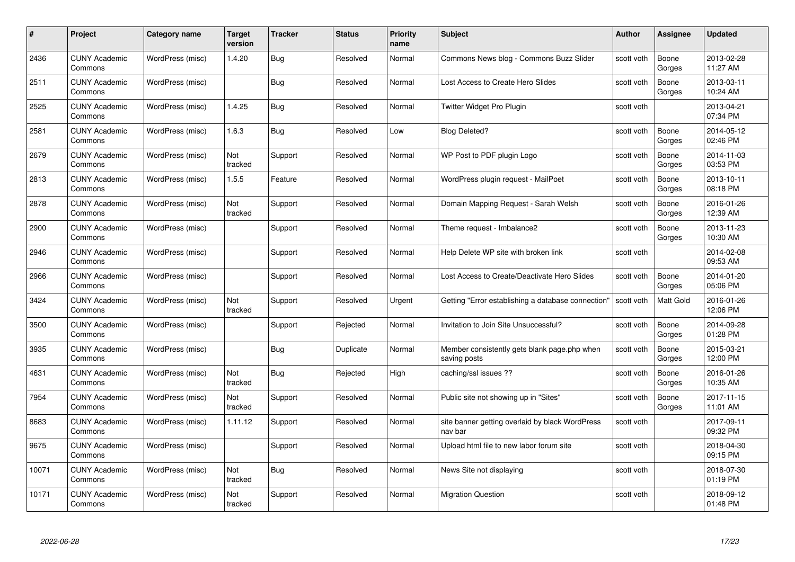| #     | Project                         | <b>Category name</b> | Target<br>version | <b>Tracker</b> | <b>Status</b> | <b>Priority</b><br>name | <b>Subject</b>                                               | Author     | Assignee        | <b>Updated</b>         |
|-------|---------------------------------|----------------------|-------------------|----------------|---------------|-------------------------|--------------------------------------------------------------|------------|-----------------|------------------------|
| 2436  | <b>CUNY Academic</b><br>Commons | WordPress (misc)     | 1.4.20            | Bug            | Resolved      | Normal                  | Commons News blog - Commons Buzz Slider                      | scott voth | Boone<br>Gorges | 2013-02-28<br>11:27 AM |
| 2511  | <b>CUNY Academic</b><br>Commons | WordPress (misc)     |                   | Bug            | Resolved      | Normal                  | Lost Access to Create Hero Slides                            | scott voth | Boone<br>Gorges | 2013-03-11<br>10:24 AM |
| 2525  | <b>CUNY Academic</b><br>Commons | WordPress (misc)     | 1.4.25            | Bug            | Resolved      | Normal                  | Twitter Widget Pro Plugin                                    | scott voth |                 | 2013-04-21<br>07:34 PM |
| 2581  | <b>CUNY Academic</b><br>Commons | WordPress (misc)     | 1.6.3             | <b>Bug</b>     | Resolved      | Low                     | <b>Blog Deleted?</b>                                         | scott voth | Boone<br>Gorges | 2014-05-12<br>02:46 PM |
| 2679  | <b>CUNY Academic</b><br>Commons | WordPress (misc)     | Not<br>tracked    | Support        | Resolved      | Normal                  | WP Post to PDF plugin Logo                                   | scott voth | Boone<br>Gorges | 2014-11-03<br>03:53 PM |
| 2813  | <b>CUNY Academic</b><br>Commons | WordPress (misc)     | 1.5.5             | Feature        | Resolved      | Normal                  | WordPress plugin request - MailPoet                          | scott voth | Boone<br>Gorges | 2013-10-11<br>08:18 PM |
| 2878  | <b>CUNY Academic</b><br>Commons | WordPress (misc)     | Not<br>tracked    | Support        | Resolved      | Normal                  | Domain Mapping Request - Sarah Welsh                         | scott voth | Boone<br>Gorges | 2016-01-26<br>12:39 AM |
| 2900  | <b>CUNY Academic</b><br>Commons | WordPress (misc)     |                   | Support        | Resolved      | Normal                  | Theme request - Imbalance2                                   | scott voth | Boone<br>Gorges | 2013-11-23<br>10:30 AM |
| 2946  | <b>CUNY Academic</b><br>Commons | WordPress (misc)     |                   | Support        | Resolved      | Normal                  | Help Delete WP site with broken link                         | scott voth |                 | 2014-02-08<br>09:53 AM |
| 2966  | <b>CUNY Academic</b><br>Commons | WordPress (misc)     |                   | Support        | Resolved      | Normal                  | Lost Access to Create/Deactivate Hero Slides                 | scott voth | Boone<br>Gorges | 2014-01-20<br>05:06 PM |
| 3424  | <b>CUNY Academic</b><br>Commons | WordPress (misc)     | Not<br>tracked    | Support        | Resolved      | Urgent                  | Getting "Error establishing a database connection'           | scott voth | Matt Gold       | 2016-01-26<br>12:06 PM |
| 3500  | <b>CUNY Academic</b><br>Commons | WordPress (misc)     |                   | Support        | Rejected      | Normal                  | Invitation to Join Site Unsuccessful?                        | scott voth | Boone<br>Gorges | 2014-09-28<br>01:28 PM |
| 3935  | <b>CUNY Academic</b><br>Commons | WordPress (misc)     |                   | <b>Bug</b>     | Duplicate     | Normal                  | Member consistently gets blank page php when<br>saving posts | scott voth | Boone<br>Gorges | 2015-03-21<br>12:00 PM |
| 4631  | <b>CUNY Academic</b><br>Commons | WordPress (misc)     | Not<br>tracked    | <b>Bug</b>     | Rejected      | High                    | caching/ssl issues ??                                        | scott voth | Boone<br>Gorges | 2016-01-26<br>10:35 AM |
| 7954  | <b>CUNY Academic</b><br>Commons | WordPress (misc)     | Not<br>tracked    | Support        | Resolved      | Normal                  | Public site not showing up in "Sites"                        | scott voth | Boone<br>Gorges | 2017-11-15<br>11:01 AM |
| 8683  | <b>CUNY Academic</b><br>Commons | WordPress (misc)     | 1.11.12           | Support        | Resolved      | Normal                  | site banner getting overlaid by black WordPress<br>nav bar   | scott voth |                 | 2017-09-11<br>09:32 PM |
| 9675  | <b>CUNY Academic</b><br>Commons | WordPress (misc)     |                   | Support        | Resolved      | Normal                  | Upload html file to new labor forum site                     | scott voth |                 | 2018-04-30<br>09:15 PM |
| 10071 | <b>CUNY Academic</b><br>Commons | WordPress (misc)     | Not<br>tracked    | <b>Bug</b>     | Resolved      | Normal                  | News Site not displaying                                     | scott voth |                 | 2018-07-30<br>01:19 PM |
| 10171 | <b>CUNY Academic</b><br>Commons | WordPress (misc)     | Not<br>tracked    | Support        | Resolved      | Normal                  | <b>Migration Question</b>                                    | scott voth |                 | 2018-09-12<br>01:48 PM |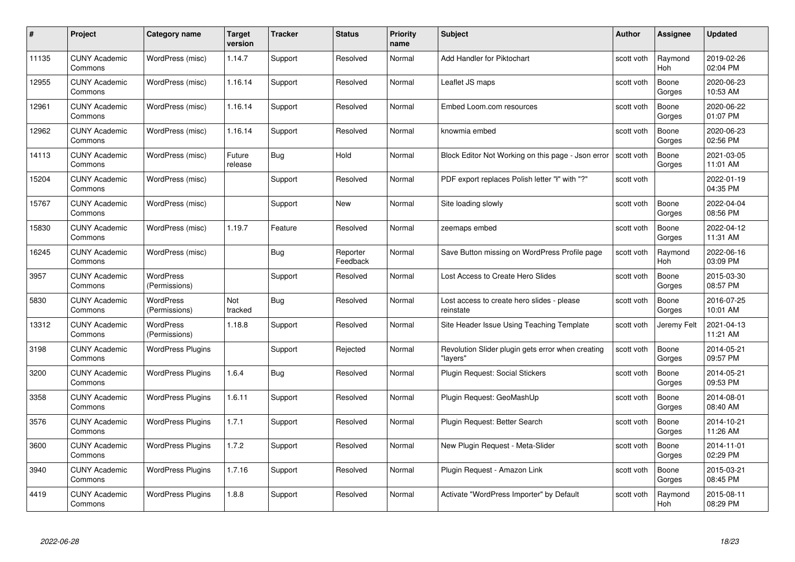| #     | Project                         | Category name                     | Target<br>version | <b>Tracker</b> | <b>Status</b>        | <b>Priority</b><br>name | <b>Subject</b>                                                | Author     | Assignee              | <b>Updated</b>         |
|-------|---------------------------------|-----------------------------------|-------------------|----------------|----------------------|-------------------------|---------------------------------------------------------------|------------|-----------------------|------------------------|
| 11135 | <b>CUNY Academic</b><br>Commons | WordPress (misc)                  | 1.14.7            | Support        | Resolved             | Normal                  | Add Handler for Piktochart                                    | scott voth | Raymond<br><b>Hoh</b> | 2019-02-26<br>02:04 PM |
| 12955 | <b>CUNY Academic</b><br>Commons | WordPress (misc)                  | 1.16.14           | Support        | Resolved             | Normal                  | Leaflet JS maps                                               | scott voth | Boone<br>Gorges       | 2020-06-23<br>10:53 AM |
| 12961 | <b>CUNY Academic</b><br>Commons | WordPress (misc)                  | 1.16.14           | Support        | Resolved             | Normal                  | Embed Loom.com resources                                      | scott voth | Boone<br>Gorges       | 2020-06-22<br>01:07 PM |
| 12962 | <b>CUNY Academic</b><br>Commons | WordPress (misc)                  | 1.16.14           | Support        | Resolved             | Normal                  | knowmia embed                                                 | scott voth | Boone<br>Gorges       | 2020-06-23<br>02:56 PM |
| 14113 | <b>CUNY Academic</b><br>Commons | WordPress (misc)                  | Future<br>release | <b>Bug</b>     | Hold                 | Normal                  | Block Editor Not Working on this page - Json error            | scott voth | Boone<br>Gorges       | 2021-03-05<br>11:01 AM |
| 15204 | <b>CUNY Academic</b><br>Commons | WordPress (misc)                  |                   | Support        | Resolved             | Normal                  | PDF export replaces Polish letter "ł" with "?"                | scott voth |                       | 2022-01-19<br>04:35 PM |
| 15767 | <b>CUNY Academic</b><br>Commons | WordPress (misc)                  |                   | Support        | New                  | Normal                  | Site loading slowly                                           | scott voth | Boone<br>Gorges       | 2022-04-04<br>08:56 PM |
| 15830 | <b>CUNY Academic</b><br>Commons | WordPress (misc)                  | 1.19.7            | Feature        | Resolved             | Normal                  | zeemaps embed                                                 | scott voth | Boone<br>Gorges       | 2022-04-12<br>11:31 AM |
| 16245 | <b>CUNY Academic</b><br>Commons | WordPress (misc)                  |                   | <b>Bug</b>     | Reporter<br>Feedback | Normal                  | Save Button missing on WordPress Profile page                 | scott voth | Raymond<br>Hoh        | 2022-06-16<br>03:09 PM |
| 3957  | <b>CUNY Academic</b><br>Commons | <b>WordPress</b><br>(Permissions) |                   | Support        | Resolved             | Normal                  | Lost Access to Create Hero Slides                             | scott voth | Boone<br>Gorges       | 2015-03-30<br>08:57 PM |
| 5830  | <b>CUNY Academic</b><br>Commons | <b>WordPress</b><br>(Permissions) | Not<br>tracked    | <b>Bug</b>     | Resolved             | Normal                  | Lost access to create hero slides - please<br>reinstate       | scott voth | Boone<br>Gorges       | 2016-07-25<br>10:01 AM |
| 13312 | <b>CUNY Academic</b><br>Commons | <b>WordPress</b><br>(Permissions) | 1.18.8            | Support        | Resolved             | Normal                  | Site Header Issue Using Teaching Template                     | scott voth | Jeremy Felt           | 2021-04-13<br>11:21 AM |
| 3198  | <b>CUNY Academic</b><br>Commons | <b>WordPress Plugins</b>          |                   | Support        | Rejected             | Normal                  | Revolution Slider plugin gets error when creating<br>"layers" | scott voth | Boone<br>Gorges       | 2014-05-21<br>09:57 PM |
| 3200  | <b>CUNY Academic</b><br>Commons | <b>WordPress Plugins</b>          | 1.6.4             | <b>Bug</b>     | Resolved             | Normal                  | Plugin Request: Social Stickers                               | scott voth | Boone<br>Gorges       | 2014-05-21<br>09:53 PM |
| 3358  | <b>CUNY Academic</b><br>Commons | <b>WordPress Plugins</b>          | 1.6.11            | Support        | Resolved             | Normal                  | Plugin Request: GeoMashUp                                     | scott voth | Boone<br>Gorges       | 2014-08-01<br>08:40 AM |
| 3576  | <b>CUNY Academic</b><br>Commons | <b>WordPress Plugins</b>          | 1.7.1             | Support        | Resolved             | Normal                  | Plugin Request: Better Search                                 | scott voth | Boone<br>Gorges       | 2014-10-21<br>11:26 AM |
| 3600  | <b>CUNY Academic</b><br>Commons | <b>WordPress Plugins</b>          | 1.7.2             | Support        | Resolved             | Normal                  | New Plugin Request - Meta-Slider                              | scott voth | Boone<br>Gorges       | 2014-11-01<br>02:29 PM |
| 3940  | <b>CUNY Academic</b><br>Commons | <b>WordPress Plugins</b>          | 1.7.16            | Support        | Resolved             | Normal                  | Plugin Request - Amazon Link                                  | scott voth | Boone<br>Gorges       | 2015-03-21<br>08:45 PM |
| 4419  | <b>CUNY Academic</b><br>Commons | <b>WordPress Plugins</b>          | 1.8.8             | Support        | Resolved             | Normal                  | Activate "WordPress Importer" by Default                      | scott voth | Raymond<br>Hoh        | 2015-08-11<br>08:29 PM |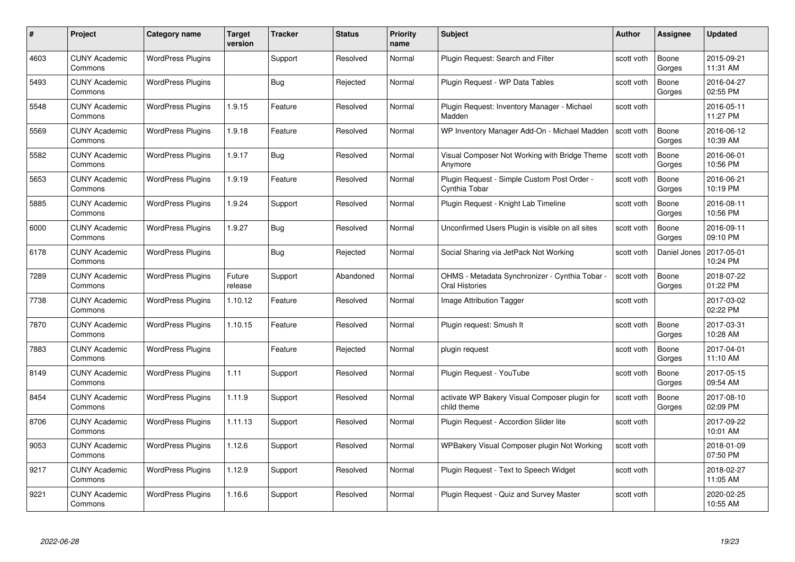| #    | Project                         | Category name            | Target<br>version | <b>Tracker</b> | <b>Status</b> | <b>Priority</b><br>name | <b>Subject</b>                                                        | <b>Author</b> | <b>Assignee</b> | <b>Updated</b>         |
|------|---------------------------------|--------------------------|-------------------|----------------|---------------|-------------------------|-----------------------------------------------------------------------|---------------|-----------------|------------------------|
| 4603 | <b>CUNY Academic</b><br>Commons | <b>WordPress Plugins</b> |                   | Support        | Resolved      | Normal                  | Plugin Request: Search and Filter                                     | scott voth    | Boone<br>Gorges | 2015-09-21<br>11:31 AM |
| 5493 | <b>CUNY Academic</b><br>Commons | <b>WordPress Plugins</b> |                   | <b>Bug</b>     | Rejected      | Normal                  | Plugin Request - WP Data Tables                                       | scott voth    | Boone<br>Gorges | 2016-04-27<br>02:55 PM |
| 5548 | <b>CUNY Academic</b><br>Commons | <b>WordPress Plugins</b> | 1.9.15            | Feature        | Resolved      | Normal                  | Plugin Reguest: Inventory Manager - Michael<br>Madden                 | scott voth    |                 | 2016-05-11<br>11:27 PM |
| 5569 | <b>CUNY Academic</b><br>Commons | <b>WordPress Plugins</b> | 1.9.18            | Feature        | Resolved      | Normal                  | WP Inventory Manager Add-On - Michael Madden                          | scott voth    | Boone<br>Gorges | 2016-06-12<br>10:39 AM |
| 5582 | <b>CUNY Academic</b><br>Commons | <b>WordPress Plugins</b> | 1.9.17            | <b>Bug</b>     | Resolved      | Normal                  | Visual Composer Not Working with Bridge Theme<br>Anymore              | scott voth    | Boone<br>Gorges | 2016-06-01<br>10:56 PM |
| 5653 | <b>CUNY Academic</b><br>Commons | <b>WordPress Plugins</b> | 1.9.19            | Feature        | Resolved      | Normal                  | Plugin Request - Simple Custom Post Order -<br>Cynthia Tobar          | scott voth    | Boone<br>Gorges | 2016-06-21<br>10:19 PM |
| 5885 | <b>CUNY Academic</b><br>Commons | <b>WordPress Plugins</b> | 1.9.24            | Support        | Resolved      | Normal                  | Plugin Request - Knight Lab Timeline                                  | scott voth    | Boone<br>Gorges | 2016-08-11<br>10:56 PM |
| 6000 | <b>CUNY Academic</b><br>Commons | <b>WordPress Plugins</b> | 1.9.27            | <b>Bug</b>     | Resolved      | Normal                  | Unconfirmed Users Plugin is visible on all sites                      | scott voth    | Boone<br>Gorges | 2016-09-11<br>09:10 PM |
| 6178 | <b>CUNY Academic</b><br>Commons | <b>WordPress Plugins</b> |                   | Bug            | Rejected      | Normal                  | Social Sharing via JetPack Not Working                                | scott voth    | Daniel Jones    | 2017-05-01<br>10:24 PM |
| 7289 | <b>CUNY Academic</b><br>Commons | <b>WordPress Plugins</b> | Future<br>release | Support        | Abandoned     | Normal                  | OHMS - Metadata Synchronizer - Cynthia Tobar<br><b>Oral Histories</b> | scott voth    | Boone<br>Gorges | 2018-07-22<br>01:22 PM |
| 7738 | <b>CUNY Academic</b><br>Commons | <b>WordPress Plugins</b> | 1.10.12           | Feature        | Resolved      | Normal                  | Image Attribution Tagger                                              | scott voth    |                 | 2017-03-02<br>02:22 PM |
| 7870 | <b>CUNY Academic</b><br>Commons | <b>WordPress Plugins</b> | 1.10.15           | Feature        | Resolved      | Normal                  | Plugin request: Smush It                                              | scott voth    | Boone<br>Gorges | 2017-03-31<br>10:28 AM |
| 7883 | <b>CUNY Academic</b><br>Commons | <b>WordPress Plugins</b> |                   | Feature        | Rejected      | Normal                  | plugin request                                                        | scott voth    | Boone<br>Gorges | 2017-04-01<br>11:10 AM |
| 8149 | <b>CUNY Academic</b><br>Commons | <b>WordPress Plugins</b> | 1.11              | Support        | Resolved      | Normal                  | Plugin Request - YouTube                                              | scott voth    | Boone<br>Gorges | 2017-05-15<br>09:54 AM |
| 8454 | <b>CUNY Academic</b><br>Commons | <b>WordPress Plugins</b> | 1.11.9            | Support        | Resolved      | Normal                  | activate WP Bakery Visual Composer plugin for<br>child theme          | scott voth    | Boone<br>Gorges | 2017-08-10<br>02:09 PM |
| 8706 | <b>CUNY Academic</b><br>Commons | <b>WordPress Plugins</b> | 1.11.13           | Support        | Resolved      | Normal                  | Plugin Request - Accordion Slider lite                                | scott voth    |                 | 2017-09-22<br>10:01 AM |
| 9053 | <b>CUNY Academic</b><br>Commons | <b>WordPress Plugins</b> | 1.12.6            | Support        | Resolved      | Normal                  | WPBakery Visual Composer plugin Not Working                           | scott voth    |                 | 2018-01-09<br>07:50 PM |
| 9217 | <b>CUNY Academic</b><br>Commons | <b>WordPress Plugins</b> | 1.12.9            | Support        | Resolved      | Normal                  | Plugin Request - Text to Speech Widget                                | scott voth    |                 | 2018-02-27<br>11:05 AM |
| 9221 | CUNY Academic<br>Commons        | <b>WordPress Plugins</b> | 1.16.6            | Support        | Resolved      | Normal                  | Plugin Reguest - Quiz and Survey Master                               | scott voth    |                 | 2020-02-25<br>10:55 AM |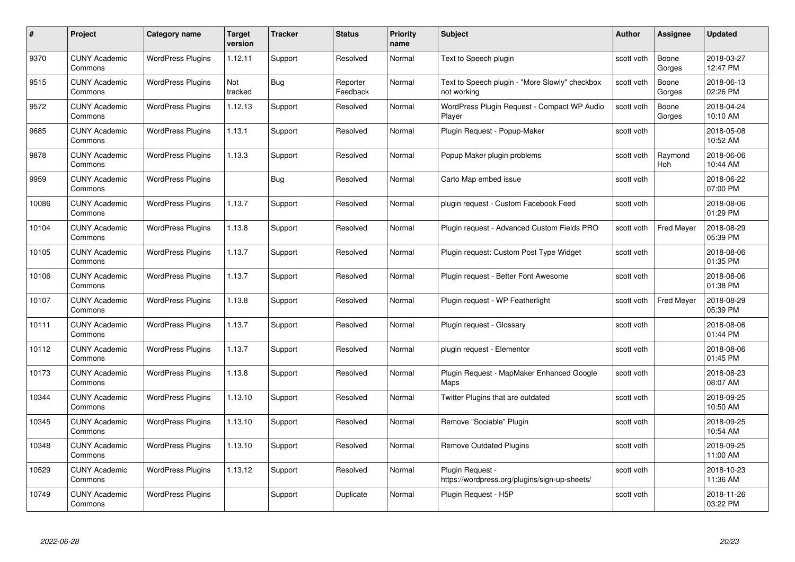| #     | Project                         | Category name            | <b>Target</b><br>version | <b>Tracker</b> | <b>Status</b>        | <b>Priority</b><br>name | <b>Subject</b>                                                    | <b>Author</b> | <b>Assignee</b>       | <b>Updated</b>         |
|-------|---------------------------------|--------------------------|--------------------------|----------------|----------------------|-------------------------|-------------------------------------------------------------------|---------------|-----------------------|------------------------|
| 9370  | <b>CUNY Academic</b><br>Commons | <b>WordPress Plugins</b> | 1.12.11                  | Support        | Resolved             | Normal                  | Text to Speech plugin                                             | scott voth    | Boone<br>Gorges       | 2018-03-27<br>12:47 PM |
| 9515  | <b>CUNY Academic</b><br>Commons | <b>WordPress Plugins</b> | Not<br>tracked           | Bug            | Reporter<br>Feedback | Normal                  | Text to Speech plugin - "More Slowly" checkbox<br>not working     | scott voth    | Boone<br>Gorges       | 2018-06-13<br>02:26 PM |
| 9572  | <b>CUNY Academic</b><br>Commons | <b>WordPress Plugins</b> | 1.12.13                  | Support        | Resolved             | Normal                  | WordPress Plugin Request - Compact WP Audio<br>Player             | scott voth    | Boone<br>Gorges       | 2018-04-24<br>10:10 AM |
| 9685  | <b>CUNY Academic</b><br>Commons | <b>WordPress Plugins</b> | 1.13.1                   | Support        | Resolved             | Normal                  | Plugin Request - Popup-Maker                                      | scott voth    |                       | 2018-05-08<br>10:52 AM |
| 9878  | <b>CUNY Academic</b><br>Commons | <b>WordPress Plugins</b> | 1.13.3                   | Support        | Resolved             | Normal                  | Popup Maker plugin problems                                       | scott voth    | Raymond<br><b>Hoh</b> | 2018-06-06<br>10:44 AM |
| 9959  | <b>CUNY Academic</b><br>Commons | <b>WordPress Plugins</b> |                          | Bug            | Resolved             | Normal                  | Carto Map embed issue                                             | scott voth    |                       | 2018-06-22<br>07:00 PM |
| 10086 | <b>CUNY Academic</b><br>Commons | <b>WordPress Plugins</b> | 1.13.7                   | Support        | Resolved             | Normal                  | plugin request - Custom Facebook Feed                             | scott voth    |                       | 2018-08-06<br>01:29 PM |
| 10104 | <b>CUNY Academic</b><br>Commons | <b>WordPress Plugins</b> | 1.13.8                   | Support        | Resolved             | Normal                  | Plugin request - Advanced Custom Fields PRO                       | scott voth    | <b>Fred Meyer</b>     | 2018-08-29<br>05:39 PM |
| 10105 | <b>CUNY Academic</b><br>Commons | <b>WordPress Plugins</b> | 1.13.7                   | Support        | Resolved             | Normal                  | Plugin request: Custom Post Type Widget                           | scott voth    |                       | 2018-08-06<br>01:35 PM |
| 10106 | <b>CUNY Academic</b><br>Commons | <b>WordPress Plugins</b> | 1.13.7                   | Support        | Resolved             | Normal                  | Plugin request - Better Font Awesome                              | scott voth    |                       | 2018-08-06<br>01:38 PM |
| 10107 | <b>CUNY Academic</b><br>Commons | <b>WordPress Plugins</b> | 1.13.8                   | Support        | Resolved             | Normal                  | Plugin request - WP Featherlight                                  | scott voth    | Fred Meyer            | 2018-08-29<br>05:39 PM |
| 10111 | <b>CUNY Academic</b><br>Commons | <b>WordPress Plugins</b> | 1.13.7                   | Support        | Resolved             | Normal                  | Plugin request - Glossary                                         | scott voth    |                       | 2018-08-06<br>01:44 PM |
| 10112 | <b>CUNY Academic</b><br>Commons | <b>WordPress Plugins</b> | 1.13.7                   | Support        | Resolved             | Normal                  | plugin request - Elementor                                        | scott voth    |                       | 2018-08-06<br>01:45 PM |
| 10173 | <b>CUNY Academic</b><br>Commons | <b>WordPress Plugins</b> | 1.13.8                   | Support        | Resolved             | Normal                  | Plugin Request - MapMaker Enhanced Google<br>Maps                 | scott voth    |                       | 2018-08-23<br>08:07 AM |
| 10344 | <b>CUNY Academic</b><br>Commons | <b>WordPress Plugins</b> | 1.13.10                  | Support        | Resolved             | Normal                  | Twitter Plugins that are outdated                                 | scott voth    |                       | 2018-09-25<br>10:50 AM |
| 10345 | <b>CUNY Academic</b><br>Commons | <b>WordPress Plugins</b> | 1.13.10                  | Support        | Resolved             | Normal                  | Remove "Sociable" Plugin                                          | scott voth    |                       | 2018-09-25<br>10:54 AM |
| 10348 | <b>CUNY Academic</b><br>Commons | <b>WordPress Plugins</b> | 1.13.10                  | Support        | Resolved             | Normal                  | <b>Remove Outdated Plugins</b>                                    | scott voth    |                       | 2018-09-25<br>11:00 AM |
| 10529 | <b>CUNY Academic</b><br>Commons | <b>WordPress Plugins</b> | 1.13.12                  | Support        | Resolved             | Normal                  | Plugin Request -<br>https://wordpress.org/plugins/sign-up-sheets/ | scott voth    |                       | 2018-10-23<br>11:36 AM |
| 10749 | <b>CUNY Academic</b><br>Commons | <b>WordPress Plugins</b> |                          | Support        | Duplicate            | Normal                  | Plugin Reguest - H5P                                              | scott voth    |                       | 2018-11-26<br>03:22 PM |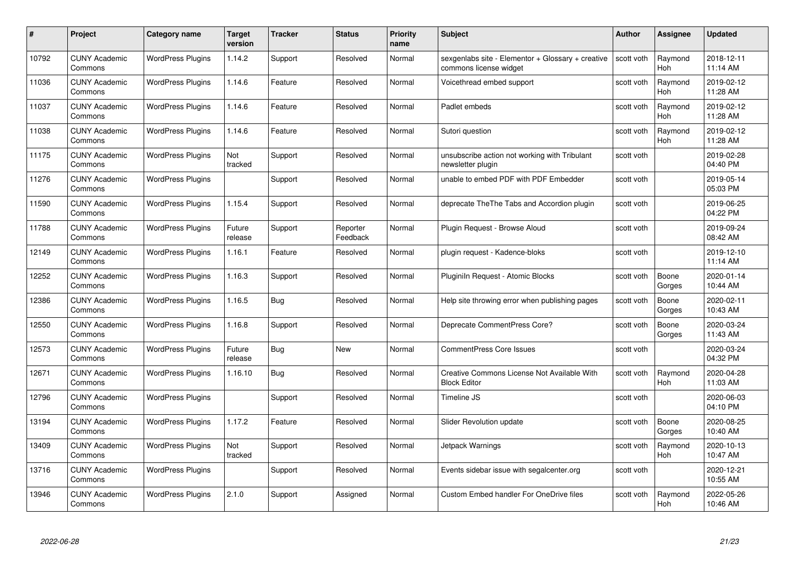| #     | Project                         | Category name            | Target<br>version | <b>Tracker</b> | <b>Status</b>        | <b>Priority</b><br>name | <b>Subject</b>                                                              | <b>Author</b> | <b>Assignee</b>       | <b>Updated</b>         |
|-------|---------------------------------|--------------------------|-------------------|----------------|----------------------|-------------------------|-----------------------------------------------------------------------------|---------------|-----------------------|------------------------|
| 10792 | <b>CUNY Academic</b><br>Commons | <b>WordPress Plugins</b> | 1.14.2            | Support        | Resolved             | Normal                  | sexgenlabs site - Elementor + Glossary + creative<br>commons license widget | scott voth    | Raymond<br><b>Hoh</b> | 2018-12-11<br>11:14 AM |
| 11036 | <b>CUNY Academic</b><br>Commons | <b>WordPress Plugins</b> | 1.14.6            | Feature        | Resolved             | Normal                  | Voicethread embed support                                                   | scott voth    | Raymond<br>Hoh        | 2019-02-12<br>11:28 AM |
| 11037 | <b>CUNY Academic</b><br>Commons | <b>WordPress Plugins</b> | 1.14.6            | Feature        | Resolved             | Normal                  | Padlet embeds                                                               | scott voth    | Raymond<br>Hoh        | 2019-02-12<br>11:28 AM |
| 11038 | <b>CUNY Academic</b><br>Commons | <b>WordPress Plugins</b> | 1.14.6            | Feature        | Resolved             | Normal                  | Sutori question                                                             | scott voth    | Raymond<br>Hoh        | 2019-02-12<br>11:28 AM |
| 11175 | <b>CUNY Academic</b><br>Commons | <b>WordPress Plugins</b> | Not<br>tracked    | Support        | Resolved             | Normal                  | unsubscribe action not working with Tribulant<br>newsletter plugin          | scott voth    |                       | 2019-02-28<br>04:40 PM |
| 11276 | <b>CUNY Academic</b><br>Commons | <b>WordPress Plugins</b> |                   | Support        | Resolved             | Normal                  | unable to embed PDF with PDF Embedder                                       | scott voth    |                       | 2019-05-14<br>05:03 PM |
| 11590 | <b>CUNY Academic</b><br>Commons | <b>WordPress Plugins</b> | 1.15.4            | Support        | Resolved             | Normal                  | deprecate The The Tabs and Accordion plugin                                 | scott voth    |                       | 2019-06-25<br>04:22 PM |
| 11788 | <b>CUNY Academic</b><br>Commons | <b>WordPress Plugins</b> | Future<br>release | Support        | Reporter<br>Feedback | Normal                  | Plugin Request - Browse Aloud                                               | scott voth    |                       | 2019-09-24<br>08:42 AM |
| 12149 | <b>CUNY Academic</b><br>Commons | <b>WordPress Plugins</b> | 1.16.1            | Feature        | Resolved             | Normal                  | plugin request - Kadence-bloks                                              | scott voth    |                       | 2019-12-10<br>11:14 AM |
| 12252 | <b>CUNY Academic</b><br>Commons | <b>WordPress Plugins</b> | 1.16.3            | Support        | Resolved             | Normal                  | Pluginiln Request - Atomic Blocks                                           | scott voth    | Boone<br>Gorges       | 2020-01-14<br>10:44 AM |
| 12386 | <b>CUNY Academic</b><br>Commons | <b>WordPress Plugins</b> | 1.16.5            | <b>Bug</b>     | Resolved             | Normal                  | Help site throwing error when publishing pages                              | scott voth    | Boone<br>Gorges       | 2020-02-11<br>10:43 AM |
| 12550 | <b>CUNY Academic</b><br>Commons | <b>WordPress Plugins</b> | 1.16.8            | Support        | Resolved             | Normal                  | Deprecate CommentPress Core?                                                | scott voth    | Boone<br>Gorges       | 2020-03-24<br>11:43 AM |
| 12573 | <b>CUNY Academic</b><br>Commons | <b>WordPress Plugins</b> | Future<br>release | <b>Bug</b>     | <b>New</b>           | Normal                  | <b>CommentPress Core Issues</b>                                             | scott voth    |                       | 2020-03-24<br>04:32 PM |
| 12671 | <b>CUNY Academic</b><br>Commons | <b>WordPress Plugins</b> | 1.16.10           | <b>Bug</b>     | Resolved             | Normal                  | Creative Commons License Not Available With<br><b>Block Editor</b>          | scott voth    | Raymond<br>Hoh        | 2020-04-28<br>11:03 AM |
| 12796 | <b>CUNY Academic</b><br>Commons | <b>WordPress Plugins</b> |                   | Support        | Resolved             | Normal                  | Timeline JS                                                                 | scott voth    |                       | 2020-06-03<br>04:10 PM |
| 13194 | <b>CUNY Academic</b><br>Commons | <b>WordPress Plugins</b> | 1.17.2            | Feature        | Resolved             | Normal                  | Slider Revolution update                                                    | scott voth    | Boone<br>Gorges       | 2020-08-25<br>10:40 AM |
| 13409 | <b>CUNY Academic</b><br>Commons | <b>WordPress Plugins</b> | Not<br>tracked    | Support        | Resolved             | Normal                  | Jetpack Warnings                                                            | scott voth    | Raymond<br><b>Hoh</b> | 2020-10-13<br>10:47 AM |
| 13716 | <b>CUNY Academic</b><br>Commons | <b>WordPress Plugins</b> |                   | Support        | Resolved             | Normal                  | Events sidebar issue with segalcenter.org                                   | scott voth    |                       | 2020-12-21<br>10:55 AM |
| 13946 | CUNY Academic<br>Commons        | <b>WordPress Plugins</b> | 2.1.0             | Support        | Assigned             | Normal                  | <b>Custom Embed handler For OneDrive files</b>                              | scott voth    | Raymond<br>Hoh        | 2022-05-26<br>10:46 AM |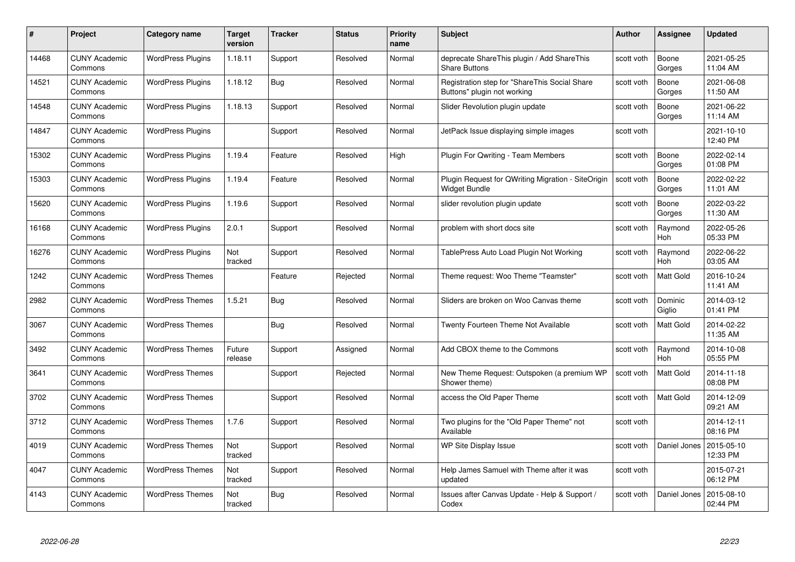| #     | Project                         | Category name            | Target<br>version | <b>Tracker</b> | <b>Status</b> | <b>Priority</b><br>name | <b>Subject</b>                                                               | Author     | <b>Assignee</b>   | <b>Updated</b>         |
|-------|---------------------------------|--------------------------|-------------------|----------------|---------------|-------------------------|------------------------------------------------------------------------------|------------|-------------------|------------------------|
| 14468 | <b>CUNY Academic</b><br>Commons | <b>WordPress Plugins</b> | 1.18.11           | Support        | Resolved      | Normal                  | deprecate ShareThis plugin / Add ShareThis<br><b>Share Buttons</b>           | scott voth | Boone<br>Gorges   | 2021-05-25<br>11:04 AM |
| 14521 | <b>CUNY Academic</b><br>Commons | <b>WordPress Plugins</b> | 1.18.12           | <b>Bug</b>     | Resolved      | Normal                  | Registration step for "ShareThis Social Share<br>Buttons" plugin not working | scott voth | Boone<br>Gorges   | 2021-06-08<br>11:50 AM |
| 14548 | <b>CUNY Academic</b><br>Commons | <b>WordPress Plugins</b> | 1.18.13           | Support        | Resolved      | Normal                  | Slider Revolution plugin update                                              | scott voth | Boone<br>Gorges   | 2021-06-22<br>11:14 AM |
| 14847 | <b>CUNY Academic</b><br>Commons | <b>WordPress Plugins</b> |                   | Support        | Resolved      | Normal                  | JetPack Issue displaying simple images                                       | scott voth |                   | 2021-10-10<br>12:40 PM |
| 15302 | <b>CUNY Academic</b><br>Commons | <b>WordPress Plugins</b> | 1.19.4            | Feature        | Resolved      | High                    | <b>Plugin For Qwriting - Team Members</b>                                    | scott voth | Boone<br>Gorges   | 2022-02-14<br>01:08 PM |
| 15303 | <b>CUNY Academic</b><br>Commons | <b>WordPress Plugins</b> | 1.19.4            | Feature        | Resolved      | Normal                  | Plugin Request for QWriting Migration - SiteOrigin<br>Widget Bundle          | scott voth | Boone<br>Gorges   | 2022-02-22<br>11:01 AM |
| 15620 | <b>CUNY Academic</b><br>Commons | <b>WordPress Plugins</b> | 1.19.6            | Support        | Resolved      | Normal                  | slider revolution plugin update                                              | scott voth | Boone<br>Gorges   | 2022-03-22<br>11:30 AM |
| 16168 | <b>CUNY Academic</b><br>Commons | <b>WordPress Plugins</b> | 2.0.1             | Support        | Resolved      | Normal                  | problem with short docs site                                                 | scott voth | Raymond<br>Hoh    | 2022-05-26<br>05:33 PM |
| 16276 | <b>CUNY Academic</b><br>Commons | <b>WordPress Plugins</b> | Not<br>tracked    | Support        | Resolved      | Normal                  | TablePress Auto Load Plugin Not Working                                      | scott voth | Raymond<br>Hoh    | 2022-06-22<br>03:05 AM |
| 1242  | <b>CUNY Academic</b><br>Commons | <b>WordPress Themes</b>  |                   | Feature        | Rejected      | Normal                  | Theme request: Woo Theme "Teamster"                                          | scott voth | Matt Gold         | 2016-10-24<br>11:41 AM |
| 2982  | <b>CUNY Academic</b><br>Commons | <b>WordPress Themes</b>  | 1.5.21            | <b>Bug</b>     | Resolved      | Normal                  | Sliders are broken on Woo Canvas theme                                       | scott voth | Dominic<br>Giglio | 2014-03-12<br>01:41 PM |
| 3067  | <b>CUNY Academic</b><br>Commons | <b>WordPress Themes</b>  |                   | <b>Bug</b>     | Resolved      | Normal                  | Twenty Fourteen Theme Not Available                                          | scott voth | Matt Gold         | 2014-02-22<br>11:35 AM |
| 3492  | <b>CUNY Academic</b><br>Commons | <b>WordPress Themes</b>  | Future<br>release | Support        | Assigned      | Normal                  | Add CBOX theme to the Commons                                                | scott voth | Raymond<br>Hoh    | 2014-10-08<br>05:55 PM |
| 3641  | <b>CUNY Academic</b><br>Commons | <b>WordPress Themes</b>  |                   | Support        | Rejected      | Normal                  | New Theme Request: Outspoken (a premium WP<br>Shower theme)                  | scott voth | Matt Gold         | 2014-11-18<br>08:08 PM |
| 3702  | <b>CUNY Academic</b><br>Commons | <b>WordPress Themes</b>  |                   | Support        | Resolved      | Normal                  | access the Old Paper Theme                                                   | scott voth | Matt Gold         | 2014-12-09<br>09:21 AM |
| 3712  | <b>CUNY Academic</b><br>Commons | <b>WordPress Themes</b>  | 1.7.6             | Support        | Resolved      | Normal                  | Two plugins for the "Old Paper Theme" not<br>Available                       | scott voth |                   | 2014-12-11<br>08:16 PM |
| 4019  | <b>CUNY Academic</b><br>Commons | <b>WordPress Themes</b>  | Not<br>tracked    | Support        | Resolved      | Normal                  | WP Site Display Issue                                                        | scott voth | Daniel Jones      | 2015-05-10<br>12:33 PM |
| 4047  | <b>CUNY Academic</b><br>Commons | <b>WordPress Themes</b>  | Not<br>tracked    | Support        | Resolved      | Normal                  | Help James Samuel with Theme after it was<br>updated                         | scott voth |                   | 2015-07-21<br>06:12 PM |
| 4143  | CUNY Academic<br>Commons        | <b>WordPress Themes</b>  | Not<br>tracked    | Bug            | Resolved      | Normal                  | Issues after Canvas Update - Help & Support /<br>Codex                       | scott voth | Daniel Jones      | 2015-08-10<br>02:44 PM |